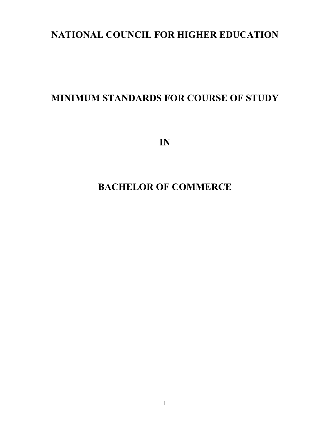# **NATIONAL COUNCIL FOR HIGHER EDUCATION**

# **MINIMUM STANDARDS FOR COURSE OF STUDY**

**IN** 

# **BACHELOR OF COMMERCE**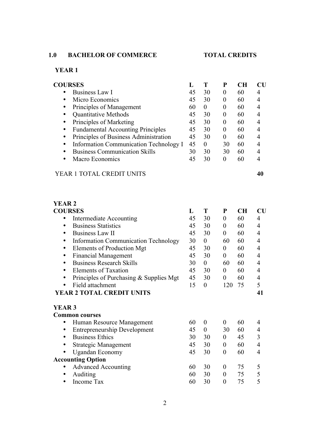# **1.0 BACHELOR OF COMMERCE TOTAL CREDITS**

# **YEAR 1**

| <b>COURSES</b>                                        |    |          | P        | $\mathbf{C}$ H | Cl |
|-------------------------------------------------------|----|----------|----------|----------------|----|
| Business Law I                                        | 45 | 30       | $\theta$ | 60             |    |
| Micro Economics                                       | 45 | 30       | $\theta$ | 60             |    |
| Principles of Management<br>٠                         | 60 | $\theta$ | $\theta$ | 60             | 4  |
| <b>Quantitative Methods</b>                           | 45 | 30       | $\theta$ | 60             |    |
| Principles of Marketing                               | 45 | 30       | $\theta$ | 60             |    |
| <b>Fundamental Accounting Principles</b><br>$\bullet$ | 45 | 30       | $\theta$ | 60             |    |
| Principles of Business Administration<br>$\bullet$    | 45 | 30       | $\theta$ | 60             |    |
| Information Communication Technology I<br>٠           | 45 | 0        | 30       | 60             | 4  |
| <b>Business Communication Skills</b><br>٠             | 30 | 30       | 30       | 60             | 4  |
| Macro Economics                                       | 45 | 30       | $\Omega$ | 60             |    |
| <b>TOTAL CREDIT</b><br>YEAR 1                         |    |          |          |                |    |

# **YEAR 2**

| <b>COURSES</b>                                           | L  | T                | ${\bf P}$        | <b>CH</b> | $\mathbf{C}\mathbf{U}$ |
|----------------------------------------------------------|----|------------------|------------------|-----------|------------------------|
| Intermediate Accounting                                  | 45 | 30               | $\boldsymbol{0}$ | 60        | 4                      |
| <b>Business Statistics</b><br>٠                          | 45 | 30               | $\boldsymbol{0}$ | 60        | 4                      |
| <b>Business Law II</b><br>٠                              | 45 | 30               | $\boldsymbol{0}$ | 60        | 4                      |
| <b>Information Communication Technology</b><br>$\bullet$ | 30 | $\boldsymbol{0}$ | 60               | 60        | 4                      |
| Elements of Production Mgt<br>$\bullet$                  | 45 | 30               | $\boldsymbol{0}$ | 60        | 4                      |
| <b>Financial Management</b><br>٠                         | 45 | 30               | $\boldsymbol{0}$ | 60        | $\overline{4}$         |
| <b>Business Research Skills</b><br>٠                     | 30 | $\overline{0}$   | 60               | 60        | $\overline{4}$         |
| <b>Elements of Taxation</b><br>٠                         | 45 | 30               | $\boldsymbol{0}$ | 60        | $\overline{4}$         |
| Principles of Purchasing & Supplies Mgt<br>٠             | 45 | 30               | $\boldsymbol{0}$ | 60        | 4                      |
| Field attachment<br>٠                                    | 15 | $\theta$         | 120              | 75        | 5                      |
| <b>YEAR 2 TOTAL CREDIT UNITS</b>                         |    |                  |                  |           | 41                     |
| <b>YEAR 3</b>                                            |    |                  |                  |           |                        |
| <b>Common courses</b>                                    |    |                  |                  |           |                        |
| Human Resource Management<br>٠                           | 60 | $\theta$         | $\boldsymbol{0}$ | 60        | 4                      |
| <b>Entrepreneurship Development</b><br>٠                 | 45 | $\theta$         | 30               | 60        | 4                      |
| <b>Business Ethics</b><br>٠                              | 30 | 30               | $\boldsymbol{0}$ | 45        | 3                      |
| <b>Strategic Management</b><br>٠                         | 45 | 30               | $\boldsymbol{0}$ | 60        | 4                      |
| <b>Ugandan Economy</b><br>٠                              | 45 | 30               | $\boldsymbol{0}$ | 60        | 4                      |
| <b>Accounting Option</b>                                 |    |                  |                  |           |                        |
| <b>Advanced Accounting</b><br>٠                          | 60 | 30               | $\boldsymbol{0}$ | 75        | 5                      |
| Auditing<br>٠                                            | 60 | 30               | $\boldsymbol{0}$ | 75        | 5                      |
| Income Tax<br>٠                                          | 60 | 30               | $\pmb{0}$        | 75        | 5                      |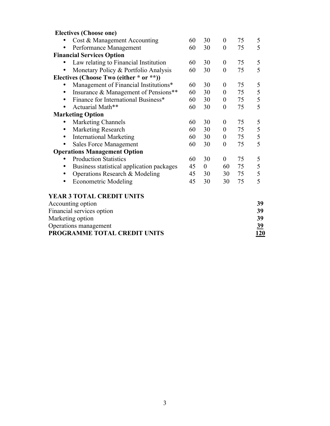| <b>Electives (Choose one)</b>                                   |    |                  |                  |    |        |  |  |
|-----------------------------------------------------------------|----|------------------|------------------|----|--------|--|--|
| Cost & Management Accounting                                    | 60 | 30               | $\boldsymbol{0}$ | 75 | 5<br>5 |  |  |
| Performance Management<br>$\overline{0}$<br>75<br>60<br>30<br>٠ |    |                  |                  |    |        |  |  |
| <b>Financial Services Option</b>                                |    |                  |                  |    |        |  |  |
| Law relating to Financial Institution                           | 60 | 30               | $\boldsymbol{0}$ | 75 | 5      |  |  |
| Monetary Policy & Portfolio Analysis<br>$\bullet$               | 60 | 30               | $\boldsymbol{0}$ | 75 | 5      |  |  |
| Electives (Choose Two (either * or **))                         |    |                  |                  |    |        |  |  |
| Management of Financial Institutions*                           | 60 | 30               | $\boldsymbol{0}$ | 75 | 5      |  |  |
| Insurance & Management of Pensions**<br>٠                       | 60 | 30               | $\boldsymbol{0}$ | 75 | 5      |  |  |
| Finance for International Business*<br>$\bullet$                | 60 | 30               | $\boldsymbol{0}$ | 75 | 5      |  |  |
| Actuarial Math**<br>$\bullet$                                   | 60 | 30               | $\boldsymbol{0}$ | 75 | 5      |  |  |
| <b>Marketing Option</b>                                         |    |                  |                  |    |        |  |  |
| <b>Marketing Channels</b>                                       | 60 | 30               | $\boldsymbol{0}$ | 75 | 5      |  |  |
| Marketing Research<br>٠                                         | 60 | 30               | $\boldsymbol{0}$ | 75 | 5      |  |  |
| <b>International Marketing</b><br>$\bullet$                     | 60 | 30               | $\boldsymbol{0}$ | 75 | 5      |  |  |
| <b>Sales Force Management</b>                                   | 60 | 30               | $\boldsymbol{0}$ | 75 | 5      |  |  |
| <b>Operations Management Option</b>                             |    |                  |                  |    |        |  |  |
| <b>Production Statistics</b>                                    | 60 | 30               | $\overline{0}$   | 75 | 5      |  |  |
| Business statistical application packages<br>$\bullet$          | 45 | $\boldsymbol{0}$ | 60               | 75 | 5      |  |  |
| Operations Research & Modeling                                  | 45 | 30               | 30               | 75 | 5      |  |  |
| <b>Econometric Modeling</b><br>٠                                | 45 | 30               | 30               | 75 | 5      |  |  |
| <b>YEAR 3 TOTAL CREDIT UNITS</b>                                |    |                  |                  |    |        |  |  |
| Accounting option                                               |    |                  |                  |    | 39     |  |  |
| Financial services option                                       |    |                  |                  |    | 39     |  |  |
| Marketing option                                                |    |                  |                  |    | 39     |  |  |
| Operations management                                           |    |                  |                  |    | 39     |  |  |
| PROGRAMME TOTAL CREDIT UNITS                                    |    |                  |                  |    | 120    |  |  |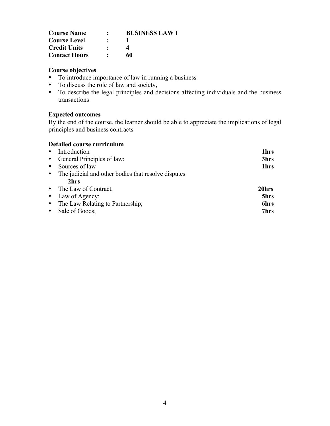| <b>Course Name</b>   | <b>BUSINESS LAW I</b> |
|----------------------|-----------------------|
| <b>Course Level</b>  |                       |
| <b>Credit Units</b>  |                       |
| <b>Contact Hours</b> | 60                    |

- To introduce importance of law in running a business
- To discuss the role of law and society,
- To describe the legal principles and decisions affecting individuals and the business transactions

## **Expected outcomes**

By the end of the course, the learner should be able to appreciate the implications of legal principles and business contracts

| • Introduction                                        | 1hrs             |
|-------------------------------------------------------|------------------|
| • General Principles of law;                          | 3hrs             |
| • Sources of law                                      | 1 <sub>hrs</sub> |
| • The judicial and other bodies that resolve disputes |                  |
| 2hrs                                                  |                  |
| • The Law of Contract,                                | 20hrs            |
| • Law of Agency;                                      | 5hrs             |
| • The Law Relating to Partnership;                    | <b>6hrs</b>      |
| • Sale of Goods;                                      | 7hrs             |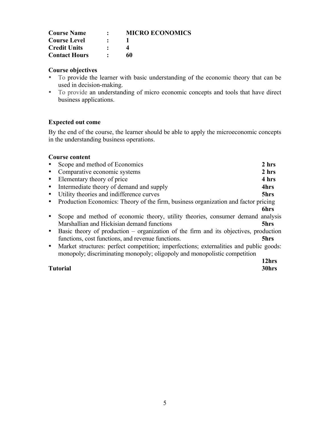| <b>Course Name</b>   | $\bullet$ | <b>MICRO ECONOMICS</b> |
|----------------------|-----------|------------------------|
| <b>Course Level</b>  | $\bullet$ |                        |
| <b>Credit Units</b>  |           |                        |
| <b>Contact Hours</b> |           | 60                     |

- To provide the learner with basic understanding of the economic theory that can be used in decision-making.
- To provide an understanding of micro economic concepts and tools that have direct business applications.

#### **Expected out come**

By the end of the course, the learner should be able to apply the microeconomic concepts in the understanding business operations.

|           | Scope and method of Economics                                                          | 2 hrs |
|-----------|----------------------------------------------------------------------------------------|-------|
| $\bullet$ | Comparative economic systems                                                           | 2 hrs |
| $\bullet$ | Elementary theory of price                                                             | 4 hrs |
| $\bullet$ | Intermediate theory of demand and supply                                               | 4hrs  |
| $\bullet$ | Utility theories and indifference curves                                               | 5hrs  |
| $\bullet$ | Production Economics: Theory of the firm, business organization and factor pricing     |       |
|           |                                                                                        | 6hrs  |
|           | Scope and method of economic theory, utility theories, consumer demand analysis        |       |
|           | Marshallian and Hickisian demand functions                                             | 5hrs  |
| $\bullet$ | Basic theory of production $-$ organization of the firm and its objectives, production |       |
|           | functions, cost functions, and revenue functions.                                      | 5hrs  |
| $\bullet$ | Market structures: perfect competition; imperfections; externalities and public goods: |       |
|           | monopoly; discriminating monopoly; oligopoly and monopolistic competition              |       |
|           |                                                                                        | 12hrs |
|           | <b>Tutorial</b>                                                                        | 30hrs |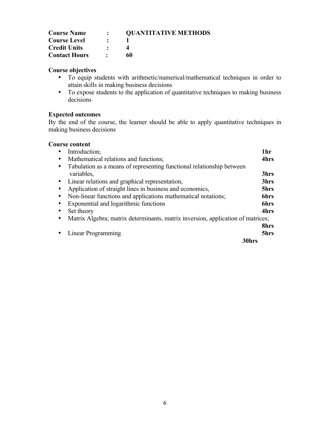| <b>Course Name</b>   | $\mathbf{r}$ | <b>OUANTITATIVE METHODS</b> |
|----------------------|--------------|-----------------------------|
| <b>Course Level</b>  |              |                             |
| <b>Credit Units</b>  |              |                             |
| <b>Contact Hours</b> |              | 60                          |

- To equip students with arithmetic/numerical/mathematical techniques in order to attain skills in making business decisions
- To expose students to the application of quantitative techniques to making business decisions

## **Expected outcomes**

By the end of the course, the learner should be able to apply quantitative techniques in making business decisions

|           | Introduction;                                                                   | 1hr         |
|-----------|---------------------------------------------------------------------------------|-------------|
|           | Mathematical relations and functions;                                           | 4hrs        |
| $\bullet$ | Tabulation as a means of representing functional relationship between           |             |
|           | variables,                                                                      | 3hrs        |
|           | • Linear relations and graphical representation,                                | 3hrs        |
|           | Application of straight lines in business and economics,                        | 5hrs        |
|           | Non-linear functions and applications mathematical notations;                   | <b>6hrs</b> |
|           | Exponential and logarithmic functions                                           | 6hrs        |
|           | Set theory                                                                      | 4hrs        |
|           | Matrix Algebra; matrix determinants, matrix inversion, application of matrices; |             |
|           |                                                                                 | 8hrs        |
|           | Linear Programming                                                              | 5hrs        |
|           | 30hrs                                                                           |             |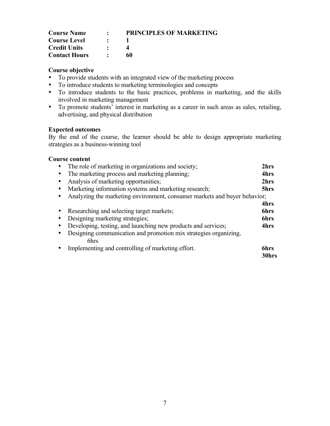| <b>Course Name</b>   | $\sim$               | <b>PRINCIPLES OF MARKETING</b> |
|----------------------|----------------------|--------------------------------|
| <b>Course Level</b>  | $\ddot{\phantom{1}}$ |                                |
| <b>Credit Units</b>  |                      |                                |
| <b>Contact Hours</b> |                      | 60                             |

- To provide students with an integrated view of the marketing process
- To introduce students to marketing terminologies and concepts
- To introduce students to the basic practices, problems in marketing, and the skills involved in marketing management
- To promote students' interest in marketing as a career in such areas as sales, retailing, advertising, and physical distribution

#### **Expected outcomes**

By the end of the course, the learner should be able to design appropriate marketing strategies as a business-winning tool

| The role of marketing in organizations and society;                       | 2hrs          |
|---------------------------------------------------------------------------|---------------|
| The marketing process and marketing planning;                             | 4hrs          |
| Analysis of marketing opportunities;                                      | 2hrs          |
| Marketing information systems and marketing research;                     | 5hrs          |
| Analyzing the marketing environment, consumer markets and buyer behavior; |               |
|                                                                           | 4hrs          |
| Researching and selecting target markets;                                 | 6hrs          |
| Designing marketing strategies;                                           | 6hrs          |
| Developing, testing, and launching new products and services;             | 4hrs          |
| Designing communication and promotion mix strategies organizing,<br>6hrs  |               |
| Implementing and controlling of marketing effort.                         | 6hrs<br>30hrs |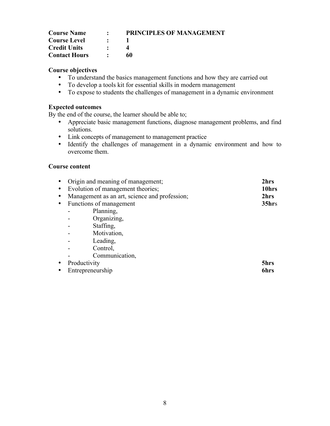| <b>Course Name</b>   | $\bullet$                 | <b>PRINCIPLES OF MANAGEMENT</b> |
|----------------------|---------------------------|---------------------------------|
| <b>Course Level</b>  | $\mathcal{L}(\mathbf{r})$ |                                 |
| <b>Credit Units</b>  | $\bullet$                 |                                 |
| <b>Contact Hours</b> |                           | 60                              |

- To understand the basics management functions and how they are carried out
- To develop a tools kit for essential skills in modern management
- To expose to students the challenges of management in a dynamic environment

#### **Expected outcomes**

By the end of the course, the learner should be able to;

- Appreciate basic management functions, diagnose management problems, and find solutions.
- Link concepts of management to management practice
- Identify the challenges of management in a dynamic environment and how to overcome them.

| $\bullet$ | Origin and meaning of management;             | 2hrs              |
|-----------|-----------------------------------------------|-------------------|
| $\bullet$ | Evolution of management theories;             | 10hrs             |
| $\bullet$ | Management as an art, science and profession; | 2hrs              |
|           | • Functions of management                     | 35 <sub>hrs</sub> |
|           | Planning,                                     |                   |
|           | Organizing,                                   |                   |
|           | Staffing,                                     |                   |
|           | Motivation,                                   |                   |
|           | Leading,                                      |                   |
|           | Control,                                      |                   |
|           | Communication,                                |                   |
| $\bullet$ | Productivity                                  | 5hrs              |
| $\bullet$ | Entrepreneurship                              | 6hrs              |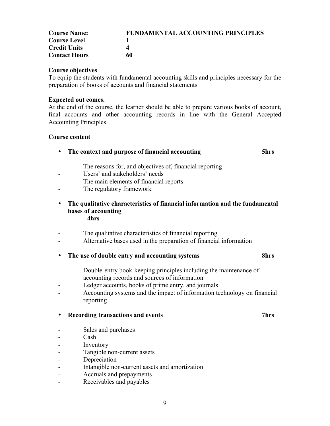| <b>Course Name:</b>  | <b>FUNDAMENTAL ACCOUNTING PRINCIPLES</b> |  |  |
|----------------------|------------------------------------------|--|--|
| <b>Course Level</b>  |                                          |  |  |
| <b>Credit Units</b>  |                                          |  |  |
| <b>Contact Hours</b> | 60                                       |  |  |

To equip the students with fundamental accounting skills and principles necessary for the preparation of books of accounts and financial statements

#### **Expected out comes.**

At the end of the course, the learner should be able to prepare various books of account, final accounts and other accounting records in line with the General Accepted Accounting Principles.

#### **Course content**

#### • **The context and purpose of financial accounting 5hrs**

# The reasons for, and objectives of, financial reporting

- Users' and stakeholders' needs
- The main elements of financial reports
- The regulatory framework
- **The qualitative characteristics of financial information and the fundamental bases of accounting 4hrs**
- The qualitative characteristics of financial reporting
- Alternative bases used in the preparation of financial information

#### • **The use of double entry and accounting systems 8hrs**

- Double-entry book-keeping principles including the maintenance of accounting records and sources of information
- Ledger accounts, books of prime entry, and journals
- Accounting systems and the impact of information technology on financial reporting

#### • **Recording transactions and events 7hrs**

- Sales and purchases
- Cash
- Inventory
- Tangible non-current assets
- **Depreciation**
- Intangible non-current assets and amortization
- Accruals and prepayments
- Receivables and payables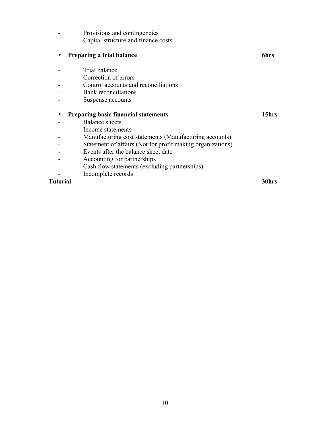|          | Provisions and contingencies                               |       |
|----------|------------------------------------------------------------|-------|
|          | Capital structure and finance costs                        |       |
| ٠        | Preparing a trial balance                                  | 6hrs  |
|          | Trial balance                                              |       |
|          | Correction of errors                                       |       |
|          | Control accounts and reconciliations                       |       |
|          | <b>Bank</b> reconciliations                                |       |
|          | Suspense accounts                                          |       |
|          | <b>Preparing basic financial statements</b>                | 15hrs |
|          | <b>Balance</b> sheets                                      |       |
|          | Income statements                                          |       |
|          | Manufacturing cost statements (Manufacturing accounts)     |       |
|          | Statement of affairs (Not for profit making organizations) |       |
|          | Events after the balance sheet date                        |       |
|          | Accounting for partnerships                                |       |
|          | Cash flow statements (excluding partnerships)              |       |
|          | Incomplete records                                         |       |
| Tutorial |                                                            | 30hrs |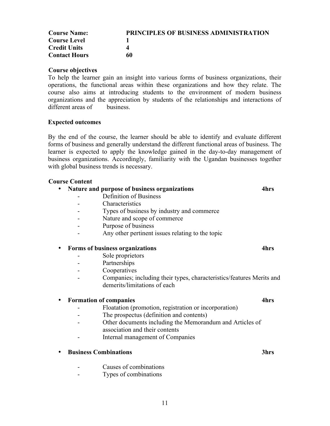| <b>Course Name:</b>  | PRINCIPLES OF BUSINESS ADMINISTRATION |
|----------------------|---------------------------------------|
| <b>Course Level</b>  |                                       |
| <b>Credit Units</b>  |                                       |
| <b>Contact Hours</b> | 60                                    |

To help the learner gain an insight into various forms of business organizations, their operations, the functional areas within these organizations and how they relate. The course also aims at introducing students to the environment of modern business organizations and the appreciation by students of the relationships and interactions of different areas of business.

#### **Expected outcomes**

By the end of the course, the learner should be able to identify and evaluate different forms of business and generally understand the different functional areas of business. The learner is expected to apply the knowledge gained in the day-to-day management of business organizations. Accordingly, familiarity with the Ugandan businesses together with global business trends is necessary.

#### **Course Content**

### • **Nature and purpose of business organizations 4hrs** - Definition of Business - Characteristics - Types of business by industry and commerce Nature and scope of commerce

- Purpose of business
- Any other pertinent issues relating to the topic

#### • **Forms of business organizations 4hrs**

- Sole proprietors
- Partnerships
- Cooperatives
- Companies; including their types, characteristics/features Merits and demerits/limitations of each

#### • **Formation of companies 4hrs**

- Floatation (promotion, registration or incorporation)
- The prospectus (definition and contents)
- Other documents including the Memorandum and Articles of association and their contents
- Internal management of Companies

#### • **Business Combinations 3hrs**

- Causes of combinations
- Types of combinations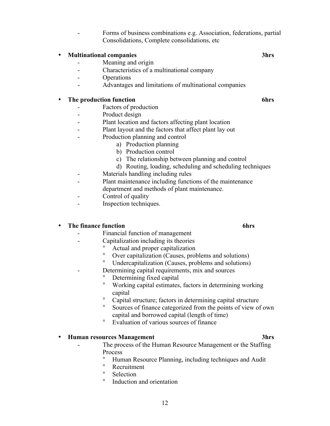- Forms of business combinations e.g. Association, federations, partial Consolidations, Complete consolidations, etc

# • **Multinational companies 3hrs**

- Meaning and origin
- Characteristics of a multinational company
- Operations
- Advantages and limitations of multinational companies

#### • **The production function 6hrs**

- Factors of production
- Product design
- Plant location and factors affecting plant location
- Plant layout and the factors that affect plant lay out
- Production planning and control
	- a) Production planning
	- b) Production control
	- c) The relationship between planning and control
	- d) Routing, loading, scheduling and scheduling techniques
- Materials handling including rules
- Plant maintenance including functions of the maintenance department and methods of plant maintenance.
- Control of quality
- Inspection techniques.

#### • **The finance function 6hrs**

- Financial function of management
- Capitalization including its theories
	- <sup>o</sup> Actual and proper capitalization<br>
	<sup>o</sup> Over capitalization (Causes, prol
	- ° Over capitalization (Causes, problems and solutions)
	- Undercapitalization (Causes, problems and solutions)
- Determining capital requirements, mix and sources
	- <sup>o</sup> Determining fixed capital<br>Norking conital estimates
	- Working capital estimates, factors in determining working capital
	- Capital structure; factors in determining capital structure
	- Sources of finance categorized from the points of view of own capital and borrowed capital (length of time)
	- ° Evaluation of various sources of finance

#### • **Human resources Management 3hrs**

- The process of the Human Resource Management or the Staffing Process
	- ° Human Resource Planning, including techniques and Audit
	- <sup>o</sup> Recruitment
	- <sup>o</sup> Selection
	- Induction and orientation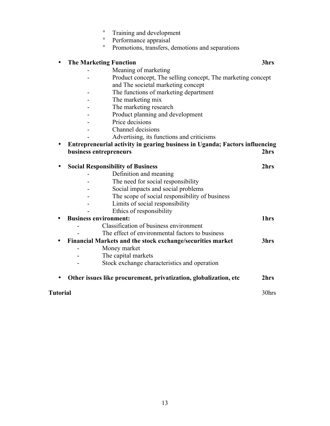|  |  | Training and development |  |
|--|--|--------------------------|--|
|--|--|--------------------------|--|

- ° Performance appraisal
- ° Promotions, transfers, demotions and separations

#### • **The Marketing Function 3hrs**

- Meaning of marketing

- Product concept, The selling concept, The marketing concept and The societal marketing concept
- The functions of marketing department
- The marketing mix
- The marketing research
- Product planning and development
- Price decisions
- Channel decisions
	- Advertising, its functions and criticisms

#### • **Entrepreneurial activity in gearing business in Uganda; Factors influencing business entrepreneurs**

|                              | <b>Social Responsibility of Business</b>                   | 2.hrs            |
|------------------------------|------------------------------------------------------------|------------------|
|                              | Definition and meaning                                     |                  |
|                              | The need for social responsibility                         |                  |
|                              | Social impacts and social problems                         |                  |
|                              | The scope of social responsibility of business             |                  |
|                              | Limits of social responsibility                            |                  |
|                              | Ethics of responsibility                                   |                  |
| <b>Business environment:</b> |                                                            | 1 <sub>hrs</sub> |
|                              | Classification of business environment                     |                  |
|                              | The effect of environmental factors to business            |                  |
|                              | Financial Markets and the stock exchange/securities market | 3hrs             |
|                              | Money market                                               |                  |
|                              | The capital markets                                        |                  |
|                              | Stock exchange characteristics and operation               |                  |

• **Other issues like procurement, privatization, globalization, etc 2hrs**

**Tutorial** 30hrs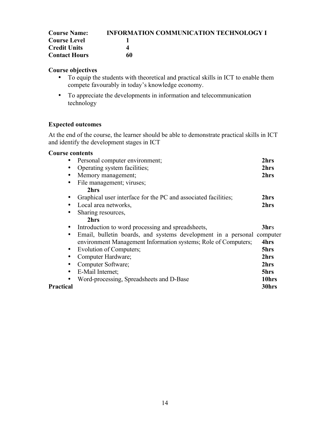| <b>Course Name:</b>  | <b>INFORMATION COMMUNICATION TECHNOLOGY I</b> |
|----------------------|-----------------------------------------------|
| <b>Course Level</b>  |                                               |
| <b>Credit Units</b>  |                                               |
| <b>Contact Hours</b> | 60                                            |

- To equip the students with theoretical and practical skills in ICT to enable them compete favourably in today's knowledge economy.
- To appreciate the developments in information and telecommunication technology

### **Expected outcomes**

At the end of the course, the learner should be able to demonstrate practical skills in ICT and identify the development stages in ICT

| $\bullet$ | Personal computer environment;                                         | 2hrs  |
|-----------|------------------------------------------------------------------------|-------|
| $\bullet$ | Operating system facilities;                                           | 2hrs  |
| $\bullet$ | Memory management;                                                     | 2hrs  |
| $\bullet$ | File management; viruses;                                              |       |
|           | 2hrs                                                                   |       |
| $\bullet$ | Graphical user interface for the PC and associated facilities;         | 2hrs  |
| $\bullet$ | Local area networks,                                                   | 2hrs  |
| $\bullet$ | Sharing resources,                                                     |       |
|           | 2hrs                                                                   |       |
| $\bullet$ | Introduction to word processing and spreadsheets,                      | 3hrs  |
| $\bullet$ | Email, bulletin boards, and systems development in a personal computer |       |
|           | environment Management Information systems; Role of Computers;         | 4hrs  |
| $\bullet$ | Evolution of Computers;                                                | 5hrs  |
| $\bullet$ | Computer Hardware;                                                     | 2hrs  |
| $\bullet$ | Computer Software;                                                     | 2hrs  |
| $\bullet$ | E-Mail Internet;                                                       | 5hrs  |
|           | Word-processing, Spreadsheets and D-Base                               | 10hrs |
| Practical |                                                                        | 30hrs |
|           |                                                                        |       |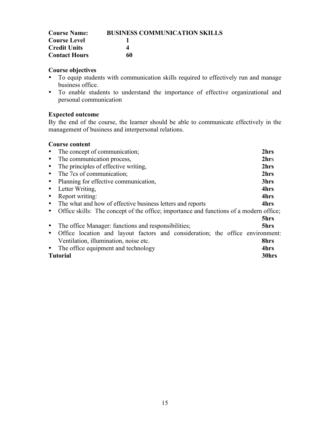| <b>Course Name:</b>  | <b>BUSINESS COMMUNICATION SKILLS</b> |
|----------------------|--------------------------------------|
| <b>Course Level</b>  |                                      |
| <b>Credit Units</b>  | Δ                                    |
| <b>Contact Hours</b> | 60                                   |

- To equip students with communication skills required to effectively run and manage business office.
- To enable students to understand the importance of effective organizational and personal communication

## **Expected outcome**

By the end of the course, the learner should be able to communicate effectively in the management of business and interpersonal relations.

|                              | • The concept of communication;                                                        | 2hrs |  |
|------------------------------|----------------------------------------------------------------------------------------|------|--|
| $\bullet$                    | The communication process,                                                             | 2hrs |  |
| $\bullet$                    | The principles of effective writing,                                                   | 2hrs |  |
| $\bullet$                    | The 7cs of communication;                                                              | 2hrs |  |
| $\bullet$                    | Planning for effective communication,                                                  | 3hrs |  |
| Letter Writing.<br>$\bullet$ |                                                                                        | 4hrs |  |
| Report writing:<br>$\bullet$ |                                                                                        | 4hrs |  |
|                              | • The what and how of effective business letters and reports                           | 4hrs |  |
| $\bullet$                    | Office skills: The concept of the office; importance and functions of a modern office; |      |  |
|                              |                                                                                        | 5hrs |  |
|                              | The office Manager: functions and responsibilities;                                    | 5hrs |  |
| $\bullet$                    | Office location and layout factors and consideration; the office environment:          |      |  |
|                              | Ventilation, illumination, noise etc.                                                  | 8hrs |  |
|                              | • The office equipment and technology                                                  | 4hrs |  |
| 30hrs<br><b>Tutorial</b>     |                                                                                        |      |  |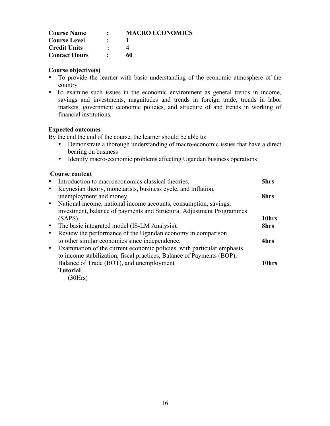| <b>Course Name</b>   | ٠         | <b>MACRO ECONOMICS</b> |
|----------------------|-----------|------------------------|
| <b>Course Level</b>  | $\bullet$ |                        |
| <b>Credit Units</b>  |           |                        |
| <b>Contact Hours</b> |           | 60                     |

- To provide the learner with basic understanding of the economic atmosphere of the country
- To examine such issues in the economic environment as general trends in income, savings and investments, magnitudes and trends in foreign trade, trends in labor markets, government economic policies, and structure of and trends in working of financial institutions.

#### **Expected outcomes**

By the end the end of the course, the learner should be able to:

- Demonstrate a thorough understanding of macro-economic issues that have a direct bearing on business
- Identify macro-economic problems affecting Ugandan business operations

#### **Course content**

|           | Introduction to macroeconomics classical theories,                     | 5hrs  |
|-----------|------------------------------------------------------------------------|-------|
| $\bullet$ | Keynesian theory, monetarists, business cycle, and inflation,          |       |
|           | unemployment and money                                                 | 8hrs  |
| $\bullet$ | National income, national income accounts, consumption, savings,       |       |
|           | investment, balance of payments and Structural Adjustment Programmes   |       |
|           | (SAPS).                                                                | 10hrs |
| $\bullet$ | The basic integrated model (IS-LM Analysis),                           | 8hrs  |
| $\bullet$ | Review the performance of the Ugandan economy in comparison            |       |
|           | to other similar economies since independence,                         | 4hrs  |
| $\bullet$ | Examination of the current economic policies, with particular emphasis |       |
|           | to income stabilization, fiscal practices, Balance of Payments (BOP),  |       |
|           | Balance of Trade (BOT), and unemployment                               | 10hrs |
|           | <b>Tutorial</b>                                                        |       |
|           | $(20U_{\rm rel})$                                                      |       |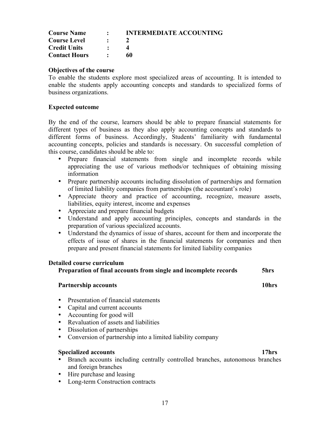| <b>Course Name</b>   | $\bullet$ | <b>INTERMEDIATE ACCOUNTING</b> |
|----------------------|-----------|--------------------------------|
| <b>Course Level</b>  | $\bullet$ |                                |
| <b>Credit Units</b>  |           |                                |
| <b>Contact Hours</b> |           | 60                             |

#### **Objectives of the course**

To enable the students explore most specialized areas of accounting. It is intended to enable the students apply accounting concepts and standards to specialized forms of business organizations.

#### **Expected outcome**

By the end of the course, learners should be able to prepare financial statements for different types of business as they also apply accounting concepts and standards to different forms of business. Accordingly, Students' familiarity with fundamental accounting concepts, policies and standards is necessary. On successful completion of this course, candidates should be able to:

- Prepare financial statements from single and incomplete records while appreciating the use of various methods/or techniques of obtaining missing information
- Prepare partnership accounts including dissolution of partnerships and formation of limited liability companies from partnerships (the accountant's role)
- Appreciate theory and practice of accounting, recognize, measure assets, liabilities, equity interest, income and expenses
- Appreciate and prepare financial budgets
- Understand and apply accounting principles, concepts and standards in the preparation of various specialized accounts.
- Understand the dynamics of issue of shares, account for them and incorporate the effects of issue of shares in the financial statements for companies and then prepare and present financial statements for limited liability companies

#### **Detailed course curriculum**

**Preparation of final accounts from single and incomplete records 5hrs**

#### **Partnership accounts** 10hrs

- Presentation of financial statements
- Capital and current accounts
- Accounting for good will
- Revaluation of assets and liabilities
- Dissolution of partnerships
- Conversion of partnership into a limited liability company

#### **Specialized accounts 17hrs**

- Branch accounts including centrally controlled branches, autonomous branches and foreign branches
- Hire purchase and leasing
- Long-term Construction contracts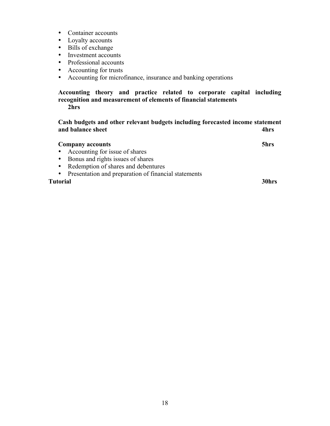- Container accounts
- Loyalty accounts
- Bills of exchange
- Investment accounts
- Professional accounts
- Accounting for trusts
- Accounting for microfinance, insurance and banking operations

#### **Accounting theory and practice related to corporate capital including recognition and measurement of elements of financial statements 2hrs**

**Cash budgets and other relevant budgets including forecasted income statement and balance sheet 4hrs**

| <b>Company accounts</b>                                | 5hrs  |
|--------------------------------------------------------|-------|
| • Accounting for issue of shares                       |       |
| • Bonus and rights issues of shares                    |       |
| • Redemption of shares and debentures                  |       |
| • Presentation and preparation of financial statements |       |
| Tutorial                                               | 30hrs |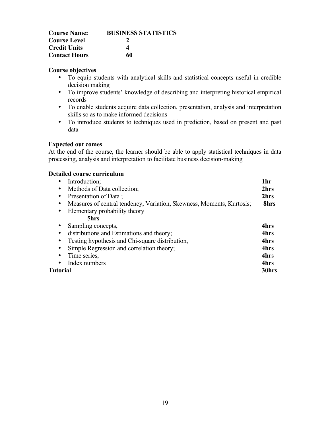| <b>Course Name:</b>  | <b>BUSINESS STATISTICS</b> |
|----------------------|----------------------------|
| <b>Course Level</b>  |                            |
| <b>Credit Units</b>  | 4                          |
| <b>Contact Hours</b> | 60                         |

- To equip students with analytical skills and statistical concepts useful in credible decision making
- To improve students' knowledge of describing and interpreting historical empirical records
- To enable students acquire data collection, presentation, analysis and interpretation skills so as to make informed decisions
- To introduce students to techniques used in prediction, based on present and past data

#### **Expected out comes**

At the end of the course, the learner should be able to apply statistical techniques in data processing, analysis and interpretation to facilitate business decision-making

| Introduction;<br>٠                                                                 | 1hr   |
|------------------------------------------------------------------------------------|-------|
| Methods of Data collection;<br>٠                                                   | 2hrs  |
| Presentation of Data;<br>٠                                                         | 2hrs  |
| Measures of central tendency, Variation, Skewness, Moments, Kurtosis;<br>$\bullet$ | 8hrs  |
| Elementary probability theory<br>$\bullet$                                         |       |
| 5hrs                                                                               |       |
| Sampling concepts,<br>٠                                                            | 4hrs  |
| distributions and Estimations and theory;<br>$\bullet$                             | 4hrs  |
| Testing hypothesis and Chi-square distribution,<br>$\bullet$                       | 4hrs  |
| Simple Regression and correlation theory;<br>٠                                     | 4hrs  |
| Time series,<br>٠                                                                  | 4hrs  |
| Index numbers<br>$\bullet$                                                         | 4hrs  |
| Tutorial                                                                           | 30hrs |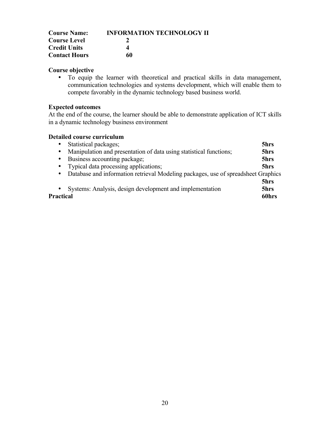| <b>Course Name:</b>  | <b>INFORMATION TECHNOLOGY II</b> |
|----------------------|----------------------------------|
| <b>Course Level</b>  |                                  |
| <b>Credit Units</b>  |                                  |
| <b>Contact Hours</b> | 60                               |

• To equip the learner with theoretical and practical skills in data management, communication technologies and systems development, which will enable them to compete favorably in the dynamic technology based business world.

#### **Expected outcomes**

At the end of the course, the learner should be able to demonstrate application of ICT skills in a dynamic technology business environment

| $\bullet$ | Statistical packages;                                                             | 5hrs  |
|-----------|-----------------------------------------------------------------------------------|-------|
| $\bullet$ | Manipulation and presentation of data using statistical functions;                | 5hrs  |
| $\bullet$ | Business accounting package;                                                      | 5hrs  |
|           | • Typical data processing applications;                                           | 5hrs  |
| $\bullet$ | Database and information retrieval Modeling packages, use of spreadsheet Graphics |       |
|           |                                                                                   | 5hrs  |
| $\bullet$ | Systems: Analysis, design development and implementation                          | 5hrs  |
| Practical |                                                                                   | 60hrs |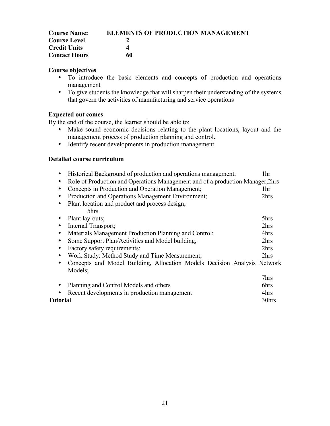| <b>Course Name:</b>  | <b>ELEMENTS OF PRODUCTION MANAGEMENT</b> |
|----------------------|------------------------------------------|
| <b>Course Level</b>  |                                          |
| <b>Credit Units</b>  |                                          |
| <b>Contact Hours</b> | 60                                       |

- To introduce the basic elements and concepts of production and operations management
- To give students the knowledge that will sharpen their understanding of the systems that govern the activities of manufacturing and service operations

### **Expected out comes**

By the end of the course, the learner should be able to:

- Make sound economic decisions relating to the plant locations, layout and the management process of production planning and control.
- Identify recent developments in production management

| Historical Background of production and operations management;<br>٠                      | 1hr   |
|------------------------------------------------------------------------------------------|-------|
| Role of Production and Operations Management and of a production Manager; 2hrs<br>٠      |       |
| Concepts in Production and Operation Management;<br>$\bullet$                            | 1hr   |
| Production and Operations Management Environment;<br>$\bullet$                           | 2hrs  |
| Plant location and product and process design;<br>٠                                      |       |
| 5hrs                                                                                     |       |
| Plant lay-outs;<br>٠                                                                     | 5hrs  |
| Internal Transport;<br>$\bullet$                                                         | 2hrs  |
| Materials Management Production Planning and Control;<br>$\bullet$                       | 4hrs  |
| Some Support Plan/Activities and Model building,                                         | 2hrs  |
| Factory safety requirements;<br>٠                                                        | 2hrs  |
| Work Study: Method Study and Time Measurement;                                           | 2hrs  |
| Concepts and Model Building, Allocation Models Decision Analysis Network<br>٠<br>Models: |       |
|                                                                                          | 7hrs  |
| Planning and Control Models and others                                                   | 6hrs  |
| Recent developments in production management                                             | 4hrs  |
| Tutorial                                                                                 | 30hrs |
|                                                                                          |       |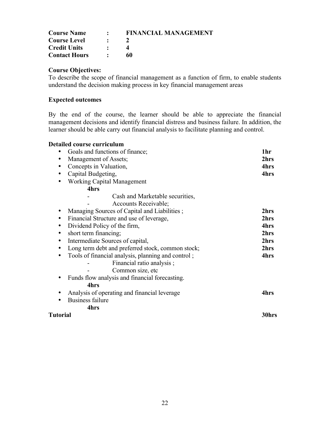| <b>Course Name</b>   | $\sim$ $\sim$ | <b>FINANCIAL MANAGEMENT</b> |
|----------------------|---------------|-----------------------------|
| <b>Course Level</b>  | $\bullet$     |                             |
| <b>Credit Units</b>  |               |                             |
| <b>Contact Hours</b> |               | 60                          |

To describe the scope of financial management as a function of firm, to enable students understand the decision making process in key financial management areas

## **Expected outcomes**

By the end of the course, the learner should be able to appreciate the financial management decisions and identify financial distress and business failure. In addition, the learner should be able carry out financial analysis to facilitate planning and control.

| <b>Detailed course curriculum</b>                              |       |
|----------------------------------------------------------------|-------|
| Goals and functions of finance;                                | 1hr   |
| Management of Assets;<br>$\bullet$                             | 2hrs  |
| Concepts in Valuation,<br>$\bullet$                            | 4hrs  |
| Capital Budgeting,<br>$\bullet$                                | 4hrs  |
| <b>Working Capital Management</b><br>٠                         |       |
| 4hrs                                                           |       |
| Cash and Marketable securities,                                |       |
| Accounts Receivable;                                           |       |
| Managing Sources of Capital and Liabilities;<br>٠              | 2hrs  |
| Financial Structure and use of leverage,<br>٠                  | 2hrs  |
| Dividend Policy of the firm,<br>$\bullet$                      | 4hrs  |
| short term financing;<br>$\bullet$                             | 2hrs  |
| Intermediate Sources of capital,<br>$\bullet$                  | 2hrs  |
| Long term debt and preferred stock, common stock;<br>$\bullet$ | 2hrs  |
| Tools of financial analysis, planning and control;<br>٠        | 4hrs  |
| Financial ratio analysis;                                      |       |
| Common size, etc                                               |       |
| Funds flow analysis and financial forecasting.                 |       |
| 4hrs                                                           |       |
| Analysis of operating and financial leverage                   | 4hrs  |
| <b>Business failure</b>                                        |       |
| 4hrs                                                           |       |
| Tutorial                                                       | 30hrs |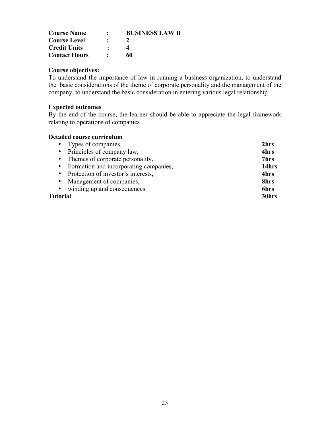| <b>Course Name</b>   | <b>BUSINESS LAW II</b> |
|----------------------|------------------------|
| <b>Course Level</b>  |                        |
| <b>Credit Units</b>  |                        |
| <b>Contact Hours</b> | 60                     |

To understand the importance of law in running a business organization, to understand the basic considerations of the theme of corporate personality and the management of the company, to understand the basic consideration in entering various legal relationship

### **Expected outcomes**

By the end of the course, the learner should be able to appreciate the legal framework relating to operations of companies

| • Types of companies,                    | 2hrs  |
|------------------------------------------|-------|
| • Principles of company law,             | 4hrs  |
| • Themes of corporate personality,       | 7hrs  |
| • Formation and incorporating companies, | 14hrs |
| • Protection of investor's interests,    | 4hrs  |
| • Management of companies,               | 8hrs  |
| • winding up and consequences            | 6hrs  |
| Tutorial                                 | 30hrs |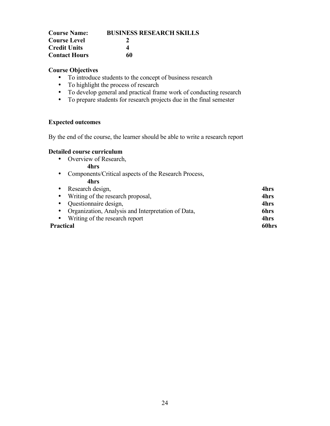| <b>Course Name:</b>  | <b>BUSINESS RESEARCH SKILLS</b> |
|----------------------|---------------------------------|
| <b>Course Level</b>  |                                 |
| <b>Credit Units</b>  | Δ                               |
| <b>Contact Hours</b> | 60                              |

- To introduce students to the concept of business research
- To highlight the process of research
- To develop general and practical frame work of conducting research
- To prepare students for research projects due in the final semester

# **Expected outcomes**

By the end of the course, the learner should be able to write a research report

#### **Detailed course curriculum**

• Overview of Research,

#### **4hrs**

• Components/Critical aspects of the Research Process,

### **4hrs**

| 4hrs  |
|-------|
| 4hrs  |
| 4hrs  |
| 6hrs  |
| 4hrs  |
| 60hrs |
|       |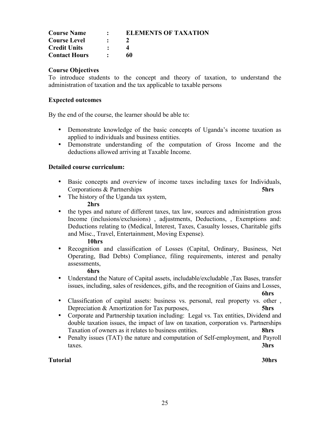| <b>Course Name</b>   | $\cdot$ $\cdot$ | <b>ELEMENTS OF TAXATION</b> |
|----------------------|-----------------|-----------------------------|
| <b>Course Level</b>  |                 |                             |
| <b>Credit Units</b>  |                 |                             |
| <b>Contact Hours</b> |                 | 60                          |

To introduce students to the concept and theory of taxation, to understand the administration of taxation and the tax applicable to taxable persons

#### **Expected outcomes**

By the end of the course, the learner should be able to:

- Demonstrate knowledge of the basic concepts of Uganda's income taxation as applied to individuals and business entities.
- Demonstrate understanding of the computation of Gross Income and the deductions allowed arriving at Taxable Income.

#### **Detailed course curriculum:**

- Basic concepts and overview of income taxes including taxes for Individuals, Corporations & Partnerships **5hrs**
- The history of the Uganda tax system,

#### **2hrs**

• the types and nature of different taxes, tax law, sources and administration gross Income (inclusions/exclusions) , adjustments, Deductions, , Exemptions and: Deductions relating to (Medical, Interest, Taxes, Casualty losses, Charitable gifts and Misc., Travel, Entertainment, Moving Expense).

#### **10hrs**

• Recognition and classification of Losses (Capital, Ordinary, Business, Net Operating, Bad Debts) Compliance, filing requirements, interest and penalty assessments,

#### **6hrs**

• Understand the Nature of Capital assets, includable/excludable ,Tax Bases, transfer issues, including, sales of residences, gifts, and the recognition of Gains and Losses,

**6hrs**

- Classification of capital assets: business vs. personal, real property vs. other , Depreciation & Amortization for Tax purposes, **5hrs**
- Corporate and Partnership taxation including: Legal vs. Tax entities, Dividend and double taxation issues, the impact of law on taxation, corporation vs. Partnerships Taxation of owners as it relates to business entities. **8hrs**
- Penalty issues (TAT) the nature and computation of Self-employment, and Payroll taxes. **3hrs**

#### **Tutorial 30hrs**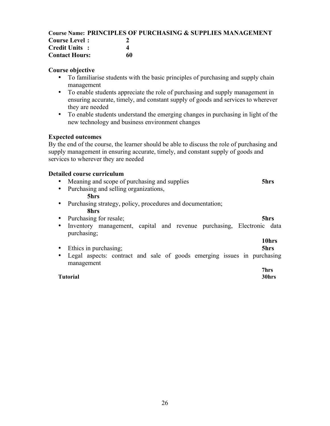### **Course Name: PRINCIPLES OF PURCHASING & SUPPLIES MANAGEMENT**

| <b>Course Level:</b>  |    |
|-----------------------|----|
| <b>Credit Units:</b>  | 4  |
| <b>Contact Hours:</b> | 60 |

#### **Course objective**

- To familiarise students with the basic principles of purchasing and supply chain management
- To enable students appreciate the role of purchasing and supply management in ensuring accurate, timely, and constant supply of goods and services to wherever they are needed
- To enable students understand the emerging changes in purchasing in light of the new technology and business environment changes

#### **Expected outcomes**

By the end of the course, the learner should be able to discuss the role of purchasing and supply management in ensuring accurate, timely, and constant supply of goods and services to wherever they are needed

#### **Detailed course curriculum**

- Meaning and scope of purchasing and supplies **5hrs**
- Purchasing and selling organizations,

#### **5hrs**

- Purchasing strategy, policy, procedures and documentation; **8hrs**
- Purchasing for resale; **5hrs**
- Inventory management, capital and revenue purchasing, Electronic data purchasing;

### • Ethics in purchasing; **5hrs**

• Legal aspects: contract and sale of goods emerging issues in purchasing management

#### **Tutorial 30hrs**

# **10hrs**

# **7hrs**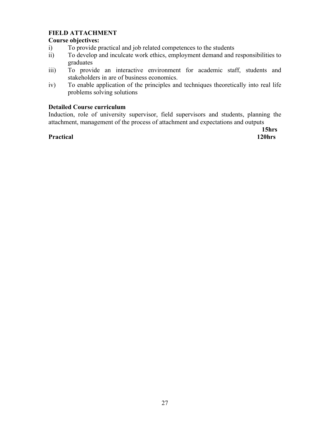# **FIELD ATTACHMENT**

### **Course objectives:**

- i) To provide practical and job related competences to the students
- ii) To develop and inculcate work ethics, employment demand and responsibilities to graduates
- iii) To provide an interactive environment for academic staff, students and stakeholders in are of business economics.
- iv) To enable application of the principles and techniques theoretically into real life problems solving solutions

#### **Detailed Course curriculum**

Induction, role of university supervisor, field supervisors and students, planning the attachment, management of the process of attachment and expectations and outputs

#### **Practical 120hrs**

**15hrs**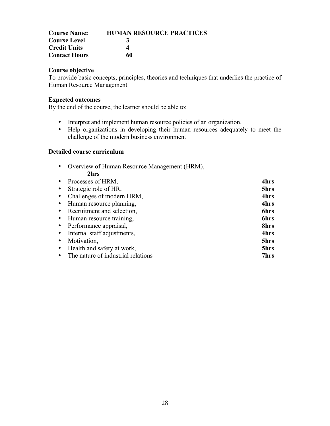| <b>Course Name:</b>  | <b>HUMAN RESOURCE PRACTICES</b> |
|----------------------|---------------------------------|
| <b>Course Level</b>  | 3                               |
| <b>Credit Units</b>  |                                 |
| <b>Contact Hours</b> | 60                              |

To provide basic concepts, principles, theories and techniques that underlies the practice of Human Resource Management

#### **Expected outcomes**

By the end of the course, the learner should be able to:

- Interpret and implement human resource policies of an organization.
- Help organizations in developing their human resources adequately to meet the challenge of the modern business environment

|           | • Overview of Human Resource Management (HRM), |      |
|-----------|------------------------------------------------|------|
|           | 2hrs                                           |      |
|           | Processes of HRM,                              | 4hrs |
|           | Strategic role of HR,                          | 5hrs |
|           | Challenges of modern HRM,                      | 4hrs |
| $\bullet$ | Human resource planning,                       | 4hrs |
|           | • Recruitment and selection,                   | 6hrs |
|           | • Human resource training,                     | 6hrs |
|           | • Performance appraisal,                       | 8hrs |
|           | • Internal staff adjustments,                  | 4hrs |
|           | Motivation,                                    | 5hrs |
|           | Health and safety at work,                     | 5hrs |
|           | The nature of industrial relations             | 7hrs |
|           |                                                |      |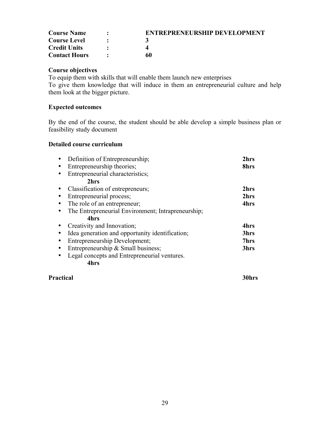| <b>Course Name</b>   | <b>ENTREPRENEURSHIP DEVELOPMENT</b> |
|----------------------|-------------------------------------|
| <b>Course Level</b>  |                                     |
| <b>Credit Units</b>  |                                     |
| <b>Contact Hours</b> | 60                                  |

To equip them with skills that will enable them launch new enterprises To give them knowledge that will induce in them an entrepreneurial culture and help them look at the bigger picture.

#### **Expected outcomes**

By the end of the course, the student should be able develop a simple business plan or feasibility study document

#### **Detailed course curriculum**

| Definition of Entrepreneurship;                    | 2hrs |
|----------------------------------------------------|------|
| Entrepreneurship theories;                         | 8hrs |
| Entrepreneurial characteristics;                   |      |
| 2hrs                                               |      |
| Classification of entrepreneurs;                   | 2hrs |
| Entrepreneurial process;                           | 2hrs |
| The role of an entrepreneur;                       | 4hrs |
| The Entrepreneurial Environment; Intrapreneurship; |      |
| 4hrs                                               |      |
| Creativity and Innovation;                         | 4hrs |
| Idea generation and opportunity identification;    | 3hrs |
| Entrepreneurship Development;                      | 7hrs |
| Entrepreneurship & Small business;                 | 3hrs |
| Legal concepts and Entrepreneurial ventures.       |      |
| 4hrs                                               |      |
|                                                    |      |

#### **Practical 30hrs**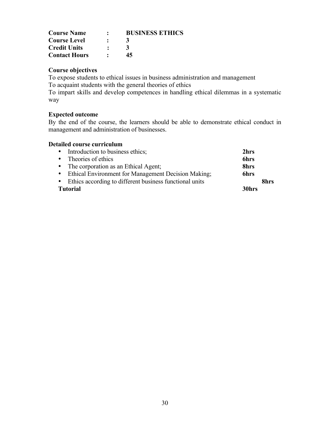| <b>Course Name</b>   | $\bullet$ | <b>BUSINESS ETHICS</b> |
|----------------------|-----------|------------------------|
| <b>Course Level</b>  | $\bullet$ |                        |
| <b>Credit Units</b>  |           |                        |
| <b>Contact Hours</b> |           | 45                     |

To expose students to ethical issues in business administration and management

To acquaint students with the general theories of ethics

To impart skills and develop competences in handling ethical dilemmas in a systematic way

# **Expected outcome**

By the end of the course, the learners should be able to demonstrate ethical conduct in management and administration of businesses.

| • Introduction to business ethics;                        | 2hrs              |      |
|-----------------------------------------------------------|-------------------|------|
| • Theories of ethics                                      | <b>6hrs</b>       |      |
| • The corporation as an Ethical Agent;                    | 8hrs              |      |
| • Ethical Environment for Management Decision Making;     | 6hrs              |      |
| • Ethics according to different business functional units |                   | 8hrs |
| <b>Tutorial</b>                                           | 30 <sub>hrs</sub> |      |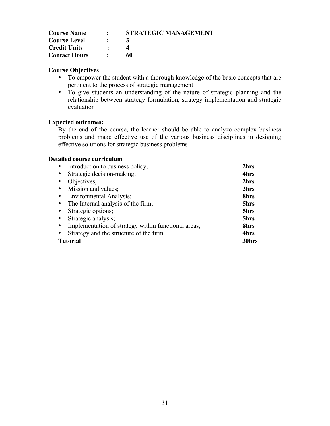| <b>Course Name</b>   | $\bullet$ and $\bullet$     | <b>STRATEGIC MANAGEMENT</b> |
|----------------------|-----------------------------|-----------------------------|
| <b>Course Level</b>  | $\bullet$                   | $\mathbf{A}$                |
| <b>Credit Units</b>  | $\bullet$                   |                             |
| <b>Contact Hours</b> | $\sim$ $\sim$ $\sim$ $\sim$ | 60                          |

- To empower the student with a thorough knowledge of the basic concepts that are pertinent to the process of strategic management
- To give students an understanding of the nature of strategic planning and the relationship between strategy formulation, strategy implementation and strategic evaluation

# **Expected outcomes:**

By the end of the course, the learner should be able to analyze complex business problems and make effective use of the various business disciplines in designing effective solutions for strategic business problems

| Introduction to business policy;                    | 2hrs  |
|-----------------------------------------------------|-------|
| Strategic decision-making;<br>$\bullet$             | 4hrs  |
| Objectives;<br>$\bullet$                            | 2hrs  |
| Mission and values;<br>$\bullet$                    | 2hrs  |
| <b>Environmental Analysis</b> ;<br>$\bullet$        | 8hrs  |
| The Internal analysis of the firm;                  | 5hrs  |
| Strategic options;<br>$\bullet$                     | 5hrs  |
| Strategic analysis;<br>$\bullet$                    | 5hrs  |
| Implementation of strategy within functional areas; | 8hrs  |
| Strategy and the structure of the firm              | 4hrs  |
| <b>Tutorial</b>                                     | 30hrs |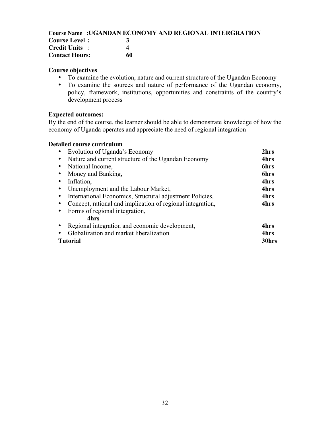# **Course Name :UGANDAN ECONOMY AND REGIONAL INTERGRATION**

| <b>Course Level:</b>  |    |
|-----------------------|----|
| <b>Credit Units</b> : |    |
| <b>Contact Hours:</b> | 60 |

#### **Course objectives**

- To examine the evolution, nature and current structure of the Ugandan Economy
- To examine the sources and nature of performance of the Ugandan economy, policy, framework, institutions, opportunities and constraints of the country's development process

#### **Expected outcomes:**

By the end of the course, the learner should be able to demonstrate knowledge of how the economy of Uganda operates and appreciate the need of regional integration

| Evolution of Uganda's Economy                              | 2hrs  |
|------------------------------------------------------------|-------|
| Nature and current structure of the Ugandan Economy        | 4hrs  |
| National Income,                                           | 6hrs  |
| Money and Banking,                                         | 6hrs  |
| Inflation,                                                 | 4hrs  |
| Unemployment and the Labour Market,                        | 4hrs  |
| International Economics, Structural adjustment Policies,   | 4hrs  |
| Concept, rational and implication of regional integration, | 4hrs  |
| Forms of regional integration,                             |       |
| 4hrs                                                       |       |
| Regional integration and economic development,             | 4hrs  |
| Globalization and market liberalization                    | 4hrs  |
| Tutorial                                                   | 30hrs |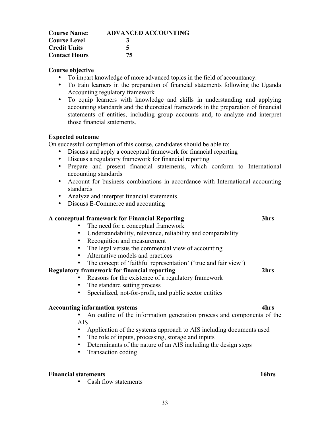| <b>Course Name:</b>  | <b>ADVANCED ACCOUNTING</b> |
|----------------------|----------------------------|
| <b>Course Level</b>  | 3                          |
| <b>Credit Units</b>  | 5                          |
| <b>Contact Hours</b> | 75                         |

- To impart knowledge of more advanced topics in the field of accountancy.
- To train learners in the preparation of financial statements following the Uganda Accounting regulatory framework
- To equip learners with knowledge and skills in understanding and applying accounting standards and the theoretical framework in the preparation of financial statements of entities, including group accounts and, to analyze and interpret those financial statements.

#### **Expected outcome**

On successful completion of this course, candidates should be able to:

- Discuss and apply a conceptual framework for financial reporting
- Discuss a regulatory framework for financial reporting
- Prepare and present financial statements, which conform to International accounting standards
- Account for business combinations in accordance with International accounting standards
- Analyze and interpret financial statements.
- Discuss E-Commerce and accounting

#### **A conceptual framework for Financial Reporting 3hrs**

- The need for a conceptual framework
- Understandability, relevance, reliability and comparability
- Recognition and measurement
- The legal versus the commercial view of accounting
- Alternative models and practices
- The concept of 'faithful representation' ('true and fair view')

### **Regulatory framework for financial reporting 2hrs**

- Reasons for the existence of a regulatory framework
- The standard setting process
- Specialized, not-for-profit, and public sector entities

#### **Accounting information systems 4hrs**

• An outline of the information generation process and components of the AIS

- Application of the systems approach to AIS including documents used
- The role of inputs, processing, storage and inputs
- Determinants of the nature of an AIS including the design steps
- Transaction coding

#### **Financial statements 16hrs**

• Cash flow statements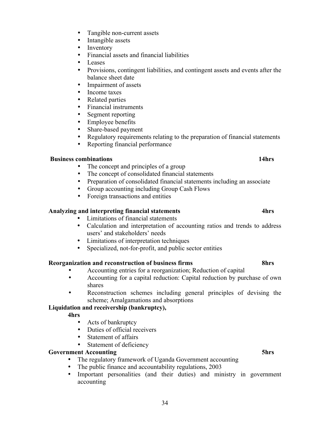- Tangible non-current assets
- Intangible assets
- Inventory<br>• Financial:
- Financial assets and financial liabilities
- Leases
- Provisions, contingent liabilities, and contingent assets and events after the balance sheet date
- Impairment of assets
- Income taxes
- Related parties
- Financial instruments
- Segment reporting
- Employee benefits
- Share-based payment
- Regulatory requirements relating to the preparation of financial statements
- Reporting financial performance

### **Business combinations 14hrs**

- The concept and principles of a group
- The concept of consolidated financial statements
- Preparation of consolidated financial statements including an associate
- Group accounting including Group Cash Flows
- Foreign transactions and entities

### **Analyzing and interpreting financial statements 4hrs**

- Limitations of financial statements
- Calculation and interpretation of accounting ratios and trends to address users' and stakeholders' needs
- Limitations of interpretation techniques
- Specialized, not-for-profit, and public sector entities

### **Reorganization and reconstruction of business firms 8hrs**

- Accounting entries for a reorganization; Reduction of capital<br>• Accounting for a capital reduction; Capital reduction by pur
- Accounting for a capital reduction: Capital reduction by purchase of own shares
- Reconstruction schemes including general principles of devising the scheme; Amalgamations and absorptions

# **Liquidation and receivership (bankruptcy),**

- **4hrs**
	- Acts of bankruptcy
	- Duties of official receivers
	- Statement of affairs
	- Statement of deficiency

### **Government Accounting 5hrs**

- The regulatory framework of Uganda Government accounting
- The public finance and accountability regulations, 2003<br>• Important personalities (and their duties) and min
- Important personalities (and their duties) and ministry in government accounting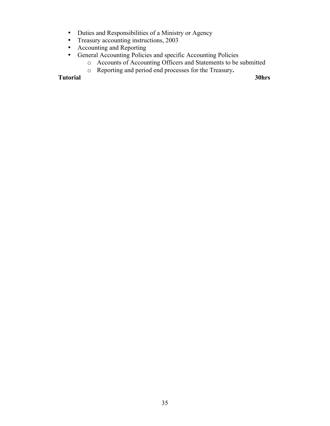- Duties and Responsibilities of a Ministry or Agency
- Treasury accounting instructions, 2003
- Accounting and Reporting<br>• General Accounting Policie
- General Accounting Policies and specific Accounting Policies
	- o Accounts of Accounting Officers and Statements to be submitted
	- o Reporting and period end processes for the Treasury**.**

**Tutorial 30hrs**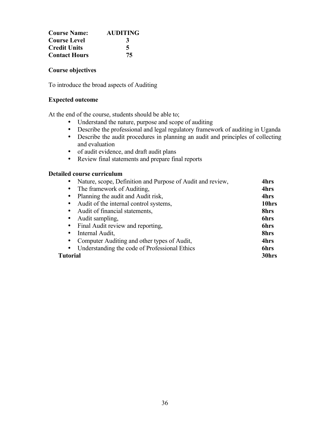| <b>Course Name:</b>  | <b>AUDITING</b> |
|----------------------|-----------------|
| <b>Course Level</b>  | 3               |
| <b>Credit Units</b>  | 5               |
| <b>Contact Hours</b> | 75              |

To introduce the broad aspects of Auditing

#### **Expected outcome**

At the end of the course, students should be able to;

- Understand the nature, purpose and scope of auditing
- Describe the professional and legal regulatory framework of auditing in Uganda • Describe the audit procedures in planning an audit and principles of collecting
	- and evaluation
- of audit evidence, and draft audit plans
- Review final statements and prepare final reports

| Nature, scope, Definition and Purpose of Audit and review,<br>$\bullet$ | 4hrs        |
|-------------------------------------------------------------------------|-------------|
| The framework of Auditing,<br>$\bullet$                                 | 4hrs        |
| Planning the audit and Audit risk,<br>$\bullet$                         | 4hrs        |
| Audit of the internal control systems,<br>$\bullet$                     | 10hrs       |
| Audit of financial statements,<br>$\bullet$                             | 8hrs        |
| Audit sampling,<br>$\bullet$                                            | <b>6hrs</b> |
| Final Audit review and reporting,<br>$\bullet$                          | 6hrs        |
| Internal Audit,<br>$\bullet$                                            | 8hrs        |
| Computer Auditing and other types of Audit,<br>$\bullet$                | 4hrs        |
| Understanding the code of Professional Ethics<br>$\bullet$              | 6hrs        |
| Tutorial                                                                | 30hrs       |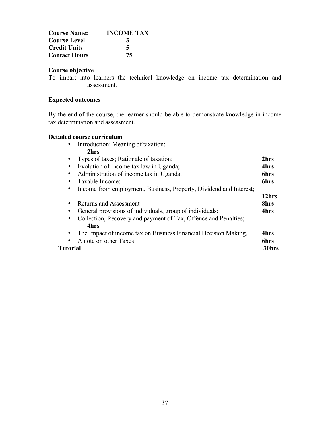| <b>Course Name:</b>  | <b>INCOME TAX</b> |
|----------------------|-------------------|
| <b>Course Level</b>  | 3                 |
| <b>Credit Units</b>  | 5                 |
| <b>Contact Hours</b> | 75                |

To impart into learners the technical knowledge on income tax determination and assessment.

#### **Expected outcomes**

By the end of the course, the learner should be able to demonstrate knowledge in income tax determination and assessment.

| Introduction: Meaning of taxation;<br>$\bullet$                              |             |
|------------------------------------------------------------------------------|-------------|
| 2hrs                                                                         |             |
| Types of taxes; Rationale of taxation;<br>$\bullet$                          | 2hrs        |
| Evolution of Income tax law in Uganda;<br>$\bullet$                          | 4hrs        |
| Administration of income tax in Uganda;<br>$\bullet$                         | <b>6hrs</b> |
| Taxable Income;                                                              | <b>6hrs</b> |
| Income from employment, Business, Property, Dividend and Interest;<br>٠      |             |
|                                                                              | 12hrs       |
| <b>Returns and Assessment</b><br>٠                                           | 8hrs        |
| General provisions of individuals, group of individuals;                     | 4hrs        |
| Collection, Recovery and payment of Tax, Offence and Penalties;<br>$\bullet$ |             |
| 4hrs                                                                         |             |
| The Impact of income tax on Business Financial Decision Making,<br>$\bullet$ | 4hrs        |
| A note on other Taxes                                                        | <b>6hrs</b> |
| Tutorial                                                                     | 30hrs       |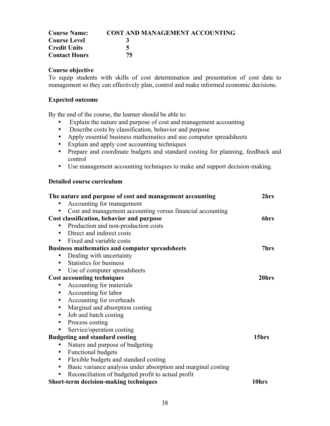| <b>Course Name:</b>  | <b>COST AND MANAGEMENT ACCOUNTING</b> |
|----------------------|---------------------------------------|
| <b>Course Level</b>  |                                       |
| <b>Credit Units</b>  | 5                                     |
| <b>Contact Hours</b> | 75.                                   |

To equip students with skills of cost determination and presentation of cost data to management so they can effectively plan, control and make informed economic decisions.

#### **Expected outcome**

By the end of the course, the learner should be able to:

- Explain the nature and purpose of cost and management accounting
- Describe costs by classification, behavior and purpose
- Apply essential business mathematics and use computer spreadsheets
- Explain and apply cost accounting techniques
- Prepare and coordinate budgets and standard costing for planning, feedback and control
- Use management accounting techniques to make and support decision-making.

| The nature and purpose of cost and management accounting                   | 2hrs  |
|----------------------------------------------------------------------------|-------|
| Accounting for management                                                  |       |
| Cost and management accounting versus financial accounting<br>$\bullet$    |       |
| Cost classification, behavior and purpose                                  | 6hrs  |
| Production and non-production costs                                        |       |
| Direct and indirect costs<br>$\bullet$                                     |       |
| Fixed and variable costs<br>$\bullet$                                      |       |
| <b>Business mathematics and computer spreadsheets</b>                      | 7hrs  |
| Dealing with uncertainty<br>$\bullet$                                      |       |
| Statistics for business<br>$\bullet$                                       |       |
| Use of computer spreadsheets<br>$\bullet$                                  |       |
| <b>Cost accounting techniques</b>                                          | 20hrs |
| Accounting for materials                                                   |       |
| Accounting for labor<br>٠                                                  |       |
| Accounting for overheads<br>$\bullet$                                      |       |
| Marginal and absorption costing<br>$\bullet$                               |       |
| Job and batch costing<br>$\bullet$                                         |       |
| Process costing<br>$\bullet$                                               |       |
| Service/operation costing<br>$\bullet$                                     |       |
| <b>Budgeting and standard costing</b>                                      | 15hrs |
| Nature and purpose of budgeting                                            |       |
| <b>Functional budgets</b><br>$\bullet$                                     |       |
| Flexible budgets and standard costing<br>٠                                 |       |
| Basic variance analysis under absorption and marginal costing<br>$\bullet$ |       |
| Reconciliation of budgeted profit to actual profit<br>$\bullet$            |       |
| Short-term decision-making techniques                                      | 10hrs |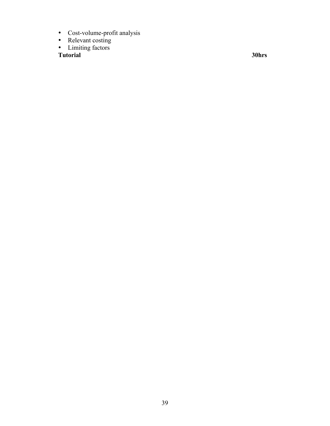- Cost-volume-profit analysis
- Relevant costing
- Limiting factors

**Tutorial 30hrs**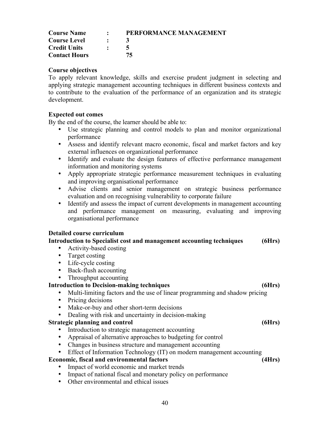| <b>Course Name</b>   | $\sim$ 100 $\sim$ | PERFORMANCE MANAGEMENT |
|----------------------|-------------------|------------------------|
| <b>Course Level</b>  | $\bullet$         |                        |
| <b>Credit Units</b>  | $\bullet$         |                        |
| <b>Contact Hours</b> |                   | 75                     |

To apply relevant knowledge, skills and exercise prudent judgment in selecting and applying strategic management accounting techniques in different business contexts and to contribute to the evaluation of the performance of an organization and its strategic development.

#### **Expected out comes**

By the end of the course, the learner should be able to:

- Use strategic planning and control models to plan and monitor organizational performance
- Assess and identify relevant macro economic, fiscal and market factors and key external influences on organizational performance
- Identify and evaluate the design features of effective performance management information and monitoring systems
- Apply appropriate strategic performance measurement techniques in evaluating and improving organisational performance
- Advise clients and senior management on strategic business performance evaluation and on recognising vulnerability to corporate failure
- Identify and assess the impact of current developments in management accounting and performance management on measuring, evaluating and improving organisational performance

#### **Detailed course curriculum**

#### **Introduction to Specialist cost and management accounting techniques (6Hrs)**

- Activity-based costing
- Target costing
- Life-cycle costing
- Back-flush accounting
- Throughput accounting

#### **Introduction to Decision-making techniques (6Hrs)**

- Multi-limiting factors and the use of linear programming and shadow pricing
- Pricing decisions
- Make-or-buy and other short-term decisions
- Dealing with risk and uncertainty in decision-making

#### **Strategic planning and control (6Hrs)**

- Introduction to strategic management accounting
- Appraisal of alternative approaches to budgeting for control
- Changes in business structure and management accounting
- Effect of Information Technology (IT) on modern management accounting

#### **Economic, fiscal and environmental factors (4Hrs)**

- Impact of world economic and market trends
- Impact of national fiscal and monetary policy on performance
- Other environmental and ethical issues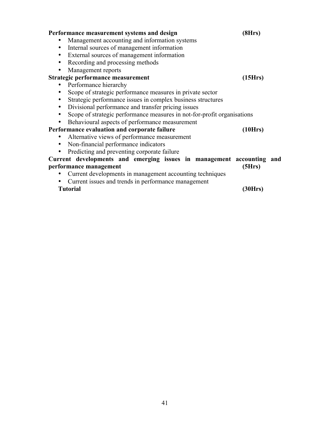| Performance measurement systems and design                                   | (8Hrs)  |  |
|------------------------------------------------------------------------------|---------|--|
| Management accounting and information systems                                |         |  |
| Internal sources of management information<br>$\bullet$                      |         |  |
| External sources of management information<br>٠                              |         |  |
| Recording and processing methods<br>٠                                        |         |  |
| Management reports<br>٠                                                      |         |  |
| Strategic performance measurement                                            | (15Hrs) |  |
| Performance hierarchy                                                        |         |  |
| Scope of strategic performance measures in private sector<br>٠               |         |  |
| Strategic performance issues in complex business structures<br>٠             |         |  |
| Divisional performance and transfer pricing issues<br>$\bullet$              |         |  |
| Scope of strategic performance measures in not-for-profit organisations<br>٠ |         |  |
| Behavioural aspects of performance measurement<br>٠                          |         |  |
| Performance evaluation and corporate failure                                 | (10Hrs) |  |
| Alternative views of performance measurement                                 |         |  |
| Non-financial performance indicators<br>$\bullet$                            |         |  |
| Predicting and preventing corporate failure<br>٠                             |         |  |
| Current developments and emerging issues in management accounting and        |         |  |
| performance management                                                       | (5Hrs)  |  |
| Current developments in management accounting techniques                     |         |  |
| Current issues and trends in performance management<br>٠                     |         |  |
| <b>Tutorial</b>                                                              | (30Hrs) |  |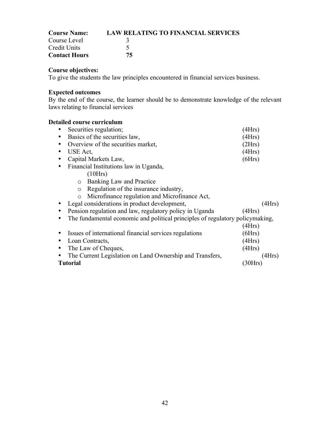| <b>Course Name:</b>  | <b>LAW RELATING TO FINANCIAL SERVICES</b> |
|----------------------|-------------------------------------------|
| Course Level         |                                           |
| Credit Units         |                                           |
| <b>Contact Hours</b> | 75.                                       |

To give the students the law principles encountered in financial services business.

### **Expected outcomes**

By the end of the course, the learner should be to demonstrate knowledge of the relevant laws relating to financial services

| Securities regulation;                                                        | 4Hrs   |  |
|-------------------------------------------------------------------------------|--------|--|
| Basics of the securities law,                                                 | (4Hrs) |  |
| Overview of the securities market,                                            | (2Hrs) |  |
| USE Act.                                                                      | (4Hrs) |  |
| Capital Markets Law,                                                          | (6Hrs) |  |
| Financial Institutions law in Uganda,                                         |        |  |
| (10Hrs)                                                                       |        |  |
| Banking Law and Practice<br>$\circ$                                           |        |  |
| Regulation of the insurance industry,<br>$\circ$                              |        |  |
| Microfinance regulation and Microfinance Act,<br>$\circ$                      |        |  |
| Legal considerations in product development,                                  | (4Hrs) |  |
| Pension regulation and law, regulatory policy in Uganda                       | (4Hrs) |  |
| The fundamental economic and political principles of regulatory policymaking, |        |  |
|                                                                               | (4Hrs) |  |
| Issues of international financial services regulations                        | (6Hrs) |  |
| Loan Contracts,                                                               | (4Hrs) |  |
| The Law of Cheques,                                                           | (4Hrs) |  |
| The Current Legislation on Land Ownership and Transfers,                      | (4Hrs) |  |
| <b>Tutorial</b><br>(30Hrs)                                                    |        |  |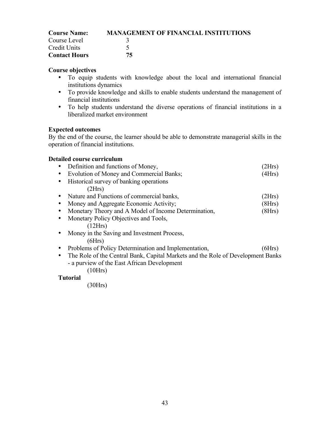| <b>Course Name:</b>  | <b>MANAGEMENT OF FINANCIAL INSTITUTIONS</b> |
|----------------------|---------------------------------------------|
| Course Level         |                                             |
| Credit Units         |                                             |
| <b>Contact Hours</b> | 75                                          |

- To equip students with knowledge about the local and international financial institutions dynamics
- To provide knowledge and skills to enable students understand the management of financial institutions
- To help students understand the diverse operations of financial institutions in a liberalized market environment

#### **Expected outcomes**

By the end of the course, the learner should be able to demonstrate managerial skills in the operation of financial institutions.

#### **Detailed course curriculum**

| Definition and functions of Money,                                              | 2Hrs   |
|---------------------------------------------------------------------------------|--------|
| Evolution of Money and Commercial Banks;                                        | (4Hrs) |
| Historical survey of banking operations                                         |        |
| (2Hrs)                                                                          |        |
| Nature and Functions of commercial banks,                                       | (2Hrs) |
| Money and Aggregate Economic Activity;                                          | (8Hrs) |
| Monetary Theory and A Model of Income Determination,                            | (8Hrs) |
| Monetary Policy Objectives and Tools,                                           |        |
| (12Hrs)                                                                         |        |
| Money in the Saving and Investment Process,                                     |        |
| (6Hrs)                                                                          |        |
| Problems of Policy Determination and Implementation,                            | (6Hrs) |
| The Role of the Central Bank, Capital Markets and the Role of Development Banks |        |
| - a purview of the East African Development                                     |        |
| (10Hrs)                                                                         |        |
|                                                                                 |        |

#### **Tutorial**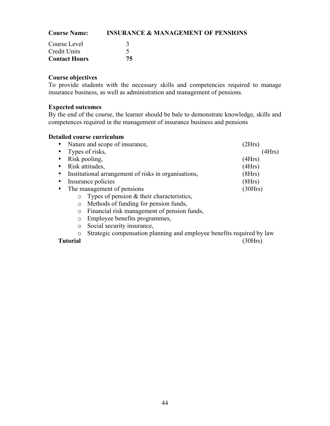| <b>Course Name:</b>  | <b>INSURANCE &amp; MANAGEMENT OF PENSIONS</b> |  |  |
|----------------------|-----------------------------------------------|--|--|
| Course Level         |                                               |  |  |
| Credit Units         |                                               |  |  |
| <b>Contact Hours</b> | 75                                            |  |  |

To provide students with the necessary skills and competencies required to manage insurance business, as well as administration and management of pensions.

# **Expected outcomes**

By the end of the course, the learner should be bale to demonstrate knowledge, skills and competences required in the management of insurance business and pensions

|                            | Nature and scope of insurance,                                             | 2Hrs    |  |
|----------------------------|----------------------------------------------------------------------------|---------|--|
| $\bullet$                  | Types of risks,                                                            | (4Hrs)  |  |
|                            | Risk pooling,                                                              | (4Hrs)  |  |
|                            | Risk attitudes,                                                            | (4Hrs)  |  |
| ٠                          | Institutional arrangement of risks in organisations,                       | (8Hrs)  |  |
| Insurance policies         |                                                                            | (8Hrs)  |  |
| The management of pensions |                                                                            | (30Hrs) |  |
|                            | Types of pension $&$ their characteristics,<br>$\circ$                     |         |  |
|                            | Methods of funding for pension funds,<br>$\circ$                           |         |  |
|                            | Financial risk management of pension funds,<br>$\circ$                     |         |  |
|                            | Employee benefits programmes,<br>$\circ$                                   |         |  |
|                            | Social security insurance,<br>$\circ$                                      |         |  |
|                            | Strategic compensation planning and employee benefits required by law<br>O |         |  |
| Tutorial                   |                                                                            | 30Hrs   |  |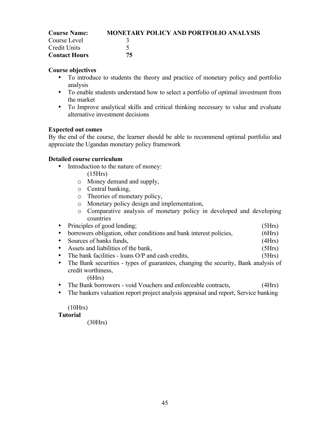| <b>Course Name:</b>  | <b>MONETARY POLICY AND PORTFOLIO ANALYSIS</b> |
|----------------------|-----------------------------------------------|
| Course Level         |                                               |
| Credit Units         |                                               |
| <b>Contact Hours</b> | 75                                            |

- To introduce to students the theory and practice of monetary policy and portfolio analysis
- To enable students understand how to select a portfolio of optimal investment from the market
- To Improve analytical skills and critical thinking necessary to value and evaluate alternative investment decisions

# **Expected out comes**

By the end of the course, the learner should be able to recommend optimal portfolio and appreciate the Ugandan monetary policy framework

# **Detailed course curriculum**

- Introduction to the nature of money:
	- (15Hrs)
	- o Money demand and supply,
	- o Central banking,
	- o Theories of monetary policy,
	- o Monetary policy design and implementation,
	- o Comparative analysis of monetary policy in developed and developing countries
- Principles of good lending; (5Hrs)
- borrowers obligation, other conditions and bank interest policies,  $(6Hrs)$
- Sources of banks funds, (4Hrs)<br>
 Assets and liabilities of the bank, (5Hrs)
- Assets and liabilities of the bank,
- The bank facilities loans O/P and cash credits, (5Hrs)
- The Bank securities types of guarantees, changing the security, Bank analysis of credit worthiness,
	- $(6Hrs)$
- The Bank borrowers void Vouchers and enforceable contracts, (4Hrs)
- The bankers valuation report project analysis appraisal and report, Service banking

(10Hrs)

# **Tutorial**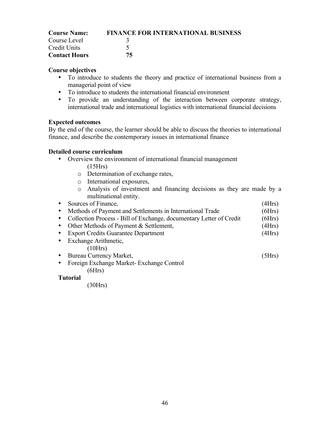| <b>Course Name:</b>  | <b>FINANCE FOR INTERNATIONAL BUSINESS</b> |
|----------------------|-------------------------------------------|
| Course Level         |                                           |
| Credit Units         |                                           |
| <b>Contact Hours</b> | 75.                                       |

- To introduce to students the theory and practice of international business from a managerial point of view
- To introduce to students the international financial environment
- To provide an understanding of the interaction between corporate strategy, international trade and international logistics with international financial decisions

#### **Expected outcomes**

By the end of the course, the learner should be able to discuss the theories to international finance, and describe the contemporary issues in international finance

#### **Detailed course curriculum**

- Overview the environment of international financial management
	- (15Hrs)
	- o Determination of exchange rates,
	- o International exposures,
	- o Analysis of investment and financing decisions as they are made by a multinational entity.

| Sources of Finance,                                                 | (4Hrs) |  |  |
|---------------------------------------------------------------------|--------|--|--|
| Methods of Payment and Settlements in International Trade           | (6Hrs) |  |  |
| Collection Process - Bill of Exchange, documentary Letter of Credit | (6Hrs) |  |  |
| Other Methods of Payment & Settlement,                              | (4Hrs) |  |  |
| <b>Export Credits Guarantee Department</b>                          | (4Hrs) |  |  |
| Exchange Arithmetic,                                                |        |  |  |
| (10Hrs)                                                             |        |  |  |
| <b>Bureau Currency Market,</b>                                      | (5Hrs) |  |  |
| Foreign Exchange Market-Exchange Control                            |        |  |  |
| (6Hrs)                                                              |        |  |  |
| Tutorial                                                            |        |  |  |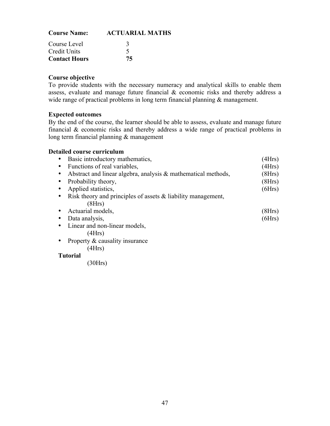| <b>Course Name:</b>  | <b>ACTUARIAL MATHS</b> |  |
|----------------------|------------------------|--|
| Course Level         |                        |  |
| <b>Credit Units</b>  |                        |  |
| <b>Contact Hours</b> | 75                     |  |

To provide students with the necessary numeracy and analytical skills to enable them assess, evaluate and manage future financial & economic risks and thereby address a wide range of practical problems in long term financial planning & management.

#### **Expected outcomes**

By the end of the course, the learner should be able to assess, evaluate and manage future financial & economic risks and thereby address a wide range of practical problems in long term financial planning & management

#### **Detailed course curriculum**

| Basic introductory mathematics,                                  | (4Hrs) |
|------------------------------------------------------------------|--------|
| Functions of real variables,                                     | (4Hrs) |
| Abstract and linear algebra, analysis $\&$ mathematical methods, | (8Hrs) |
| Probability theory,                                              | (8Hrs) |
| Applied statistics,                                              | (6Hrs) |
| Risk theory and principles of assets $\&$ liability management,  |        |
| (8Hrs)                                                           |        |
| Actuarial models,                                                | (8Hrs) |
| Data analysis,                                                   | (6Hrs) |
| Linear and non-linear models,                                    |        |
| (4Hrs)                                                           |        |
| Property & causality insurance                                   |        |
| 4Hrs)                                                            |        |

#### **Tutorial**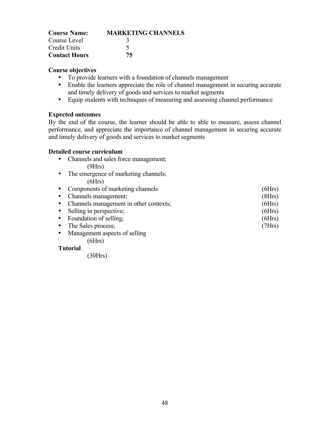| <b>Course Name:</b>  | <b>MARKETING CHANNELS</b> |
|----------------------|---------------------------|
| Course Level         |                           |
| <b>Credit Units</b>  |                           |
| <b>Contact Hours</b> | 75                        |

- To provide learners with a foundation of channels management
- Enable the learners appreciate the role of channel management in securing accurate and timely delivery of goods and services to market segments
- Equip students with techniques of measuring and assessing channel performance

#### **Expected outcomes**

By the end of the course, the learner should be able to able to measure, assess channel performance, and appreciate the importance of channel management in securing accurate and timely delivery of goods and services to market segments

#### **Detailed course curriculum**

- Channels and sales force management; (9Hrs)
- The emergence of marketing channels;  $(6Hrs)$

| • Components of marketing channels       | (6Hrs) |
|------------------------------------------|--------|
| • Channels management;                   | (8Hrs) |
| • Channels management in other contexts; | (6Hrs) |
| • Selling in perspective;                | (6Hrs) |
| • Foundation of selling;                 | (6Hrs) |
| • The Sales process;                     | (7Hrs) |
| • Management aspects of selling          |        |
| 6Hrs)                                    |        |

# **Tutorial**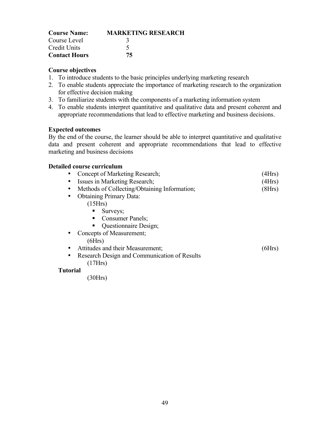| <b>Course Name:</b>  | <b>MARKETING RESEARCH</b> |
|----------------------|---------------------------|
| Course Level         |                           |
| <b>Credit Units</b>  |                           |
| <b>Contact Hours</b> | 75                        |

- 1. To introduce students to the basic principles underlying marketing research
- 2. To enable students appreciate the importance of marketing research to the organization for effective decision making
- 3. To familiarize students with the components of a marketing information system
- 4. To enable students interpret quantitative and qualitative data and present coherent and appropriate recommendations that lead to effective marketing and business decisions.

#### **Expected outcomes**

By the end of the course, the learner should be able to interpret quantitative and qualitative data and present coherent and appropriate recommendations that lead to effective marketing and business decisions

#### **Detailed course curriculum**

| Concept of Marketing Research;               | (4Hrs) |
|----------------------------------------------|--------|
| Issues in Marketing Research;                | (4Hrs) |
| Methods of Collecting/Obtaining Information; | (8Hrs) |
| <b>Obtaining Primary Data:</b>               |        |
| (15Hrs)                                      |        |
| Surveys;<br>٠                                |        |
| Consumer Panels;<br>п.                       |        |
| Questionnaire Design;<br>٠                   |        |
| Concepts of Measurement;                     |        |
| (6Hrs)                                       |        |
| Attitudes and their Measurement;             | [6Hrs  |
| Research Design and Communication of Results |        |
| 7Hrs                                         |        |

### **Tutorial**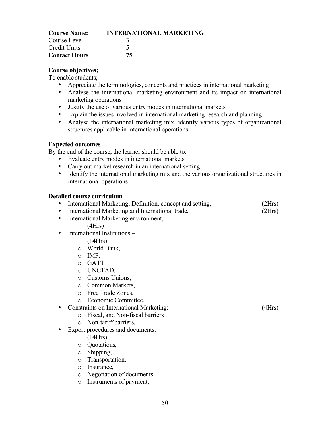| <b>Course Name:</b>  | <b>INTERNATIONAL MARKETING</b> |
|----------------------|--------------------------------|
| Course Level         |                                |
| Credit Units         |                                |
| <b>Contact Hours</b> | 75                             |

To enable students;

- Appreciate the terminologies, concepts and practices in international marketing
- Analyse the international marketing environment and its impact on international marketing operations
- Justify the use of various entry modes in international markets
- Explain the issues involved in international marketing research and planning
- Analyse the international marketing mix, identify various types of organizational structures applicable in international operations

#### **Expected outcomes**

By the end of the course, the learner should be able to:

- Evaluate entry modes in international markets
- Carry out market research in an international setting
- Identify the international marketing mix and the various organizational structures in international operations

|  | International Marketing; Definition, concept and setting, | (2Hrs) |
|--|-----------------------------------------------------------|--------|
|--|-----------------------------------------------------------|--------|

- International Marketing and International trade,  $(2Hrs)$
- International Marketing environment,
	- $(4Hrs)$
- International Institutions
	- (14Hrs)
	- o World Bank,
	- o IMF,
	- o GATT
	- o UNCTAD,
	- o Customs Unions,
	- o Common Markets,
	- o Free Trade Zones,
	- o Economic Committee,
- Constraints on International Marketing: (4Hrs)
	- o Fiscal, and Non-fiscal barriers
	- o Non-tariff barriers,
- Export procedures and documents:
	- (14Hrs)
	- o Quotations,
	- o Shipping,
	- o Transportation,
	- o Insurance,
	- o Negotiation of documents,
	- o Instruments of payment,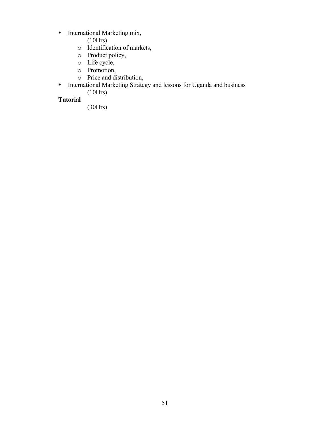- International Marketing mix,
	- (10Hrs)
	- o Identification of markets,
	- o Product policy,
	- o Life cycle,
	- o Promotion,
	- o Price and distribution,
- International Marketing Strategy and lessons for Uganda and business (10Hrs)

# **Tutorial**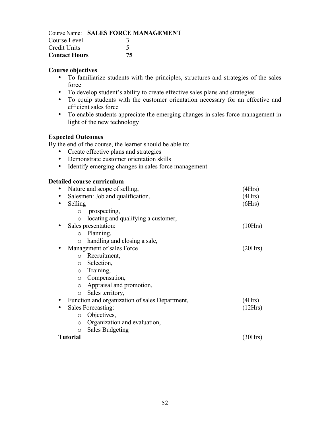|                      | Course Name: SALES FORCE MANAGEMENT |
|----------------------|-------------------------------------|
| Course Level         |                                     |
| Credit Units         |                                     |
| <b>Contact Hours</b> | 75                                  |

- To familiarize students with the principles, structures and strategies of the sales force
- To develop student's ability to create effective sales plans and strategies
- To equip students with the customer orientation necessary for an effective and efficient sales force
- To enable students appreciate the emerging changes in sales force management in light of the new technology

# **Expected Outcomes**

By the end of the course, the learner should be able to:

- Create effective plans and strategies
- Demonstrate customer orientation skills
- Identify emerging changes in sales force management

| Nature and scope of selling,     |                                                | 4Hrs    |
|----------------------------------|------------------------------------------------|---------|
| Salesmen: Job and qualification, |                                                | (4Hrs)  |
| Selling                          |                                                | (6Hrs)  |
| $\circ$                          | prospecting,                                   |         |
| $\circ$                          | locating and qualifying a customer,            |         |
|                                  | Sales presentation:                            | (10Hrs) |
| $\circ$                          | Planning,                                      |         |
| $\circ$                          | handling and closing a sale,                   |         |
|                                  | Management of sales Force                      | (20Hrs) |
| $\circ$                          | Recruitment,                                   |         |
| $\circ$                          | Selection,                                     |         |
| $\circ$                          | Training,                                      |         |
| $\circ$                          | Compensation,                                  |         |
| $\circ$                          | Appraisal and promotion,                       |         |
| $\circ$                          | Sales territory,                               |         |
|                                  | Function and organization of sales Department, | (4Hrs)  |
|                                  | Sales Forecasting:                             | (12Hrs) |
| $\circ$                          | Objectives,                                    |         |
| $\circ$                          | Organization and evaluation,                   |         |
| $\bigcirc$                       | <b>Sales Budgeting</b>                         |         |
| <b>Tutorial</b>                  |                                                | 30H     |
|                                  |                                                |         |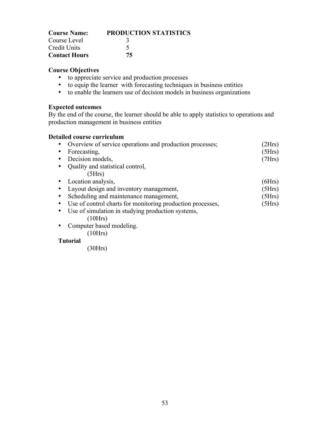| <b>Course Name:</b>  | <b>PRODUCTION STATISTICS</b> |
|----------------------|------------------------------|
| Course Level         |                              |
| Credit Units         |                              |
| <b>Contact Hours</b> | 75                           |

- to appreciate service and production processes
- to equip the learner with forecasting techniques in business entities
- to enable the learners use of decision models in business organizations

# **Expected outcomes**

By the end of the course, the learner should be able to apply statistics to operations and production management in business entities

### **Detailed course curriculum**

| Overview of service operations and production processes;     | 2Hrs)  |
|--------------------------------------------------------------|--------|
| Forecasting,                                                 | (5Hrs) |
| Decision models,                                             | (7Hrs) |
| Quality and statistical control,                             |        |
| (5Hrs)                                                       |        |
| • Location analysis,                                         | (6Hrs) |
| Layout design and inventory management,                      | (5Hrs) |
| Scheduling and maintenance management,                       | (5Hrs) |
| • Use of control charts for monitoring production processes, | (5Hrs) |
| Use of simulation in studying production systems,            |        |
| (10Hrs)                                                      |        |
| Computer based modeling.                                     |        |
| 10Hrs                                                        |        |

**Tutorial**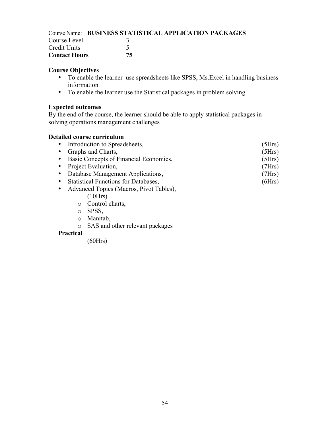|                      | <b>Course Name: BUSINESS STATISTICAL APPLICATION PACKAGES</b> |
|----------------------|---------------------------------------------------------------|
| Course Level         |                                                               |
| Credit Units         |                                                               |
| <b>Contact Hours</b> | 75                                                            |

- To enable the learner use spreadsheets like SPSS, Ms.Excel in handling business information
- To enable the learner use the Statistical packages in problem solving.

### **Expected outcomes**

By the end of the course, the learner should be able to apply statistical packages in solving operations management challenges

## **Detailed course curriculum**

| • Introduction to Spreadsheets,           | (5Hrs) |
|-------------------------------------------|--------|
| • Graphs and Charts,                      | (5Hrs) |
| • Basic Concepts of Financial Economics,  | (5Hrs) |
| • Project Evaluation,                     | (7Hrs) |
| • Database Management Applications,       | (7Hrs) |
| • Statistical Functions for Databases,    | (6Hrs) |
| • Advanced Topics (Macros, Pivot Tables). |        |

- es (Macros, Pivot Tables), (10Hrs)
	- o Control charts,
	- o SPSS,
	- o Manitab,
	- o SAS and other relevant packages

### **Practical**

(60Hrs)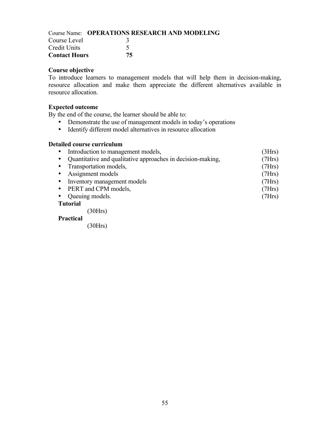|                      | Course Name: OPERATIONS RESEARCH AND MODELING |  |
|----------------------|-----------------------------------------------|--|
| Course Level         |                                               |  |
| Credit Units         |                                               |  |
| <b>Contact Hours</b> | 75.                                           |  |

To introduce learners to management models that will help them in decision-making, resource allocation and make them appreciate the different alternatives available in resource allocation.

#### **Expected outcome**

By the end of the course, the learner should be able to:

- Demonstrate the use of management models in today's operations
- Identify different model alternatives in resource allocation

#### **Detailed course curriculum**

|           | • Introduction to management models,                        | (3Hrs) |  |  |
|-----------|-------------------------------------------------------------|--------|--|--|
| $\bullet$ | Quantitative and qualitative approaches in decision-making, | (7Hrs) |  |  |
|           | • Transportation models,                                    | (7Hrs) |  |  |
|           | • Assignment models                                         | (7Hrs) |  |  |
|           | • Inventory management models                               | (7Hrs) |  |  |
|           | • PERT and CPM models,                                      | (7Hrs) |  |  |
|           | • Queuing models.                                           | (7Hrs) |  |  |
|           | <b>Tutorial</b>                                             |        |  |  |

(30Hrs)

## **Practical**